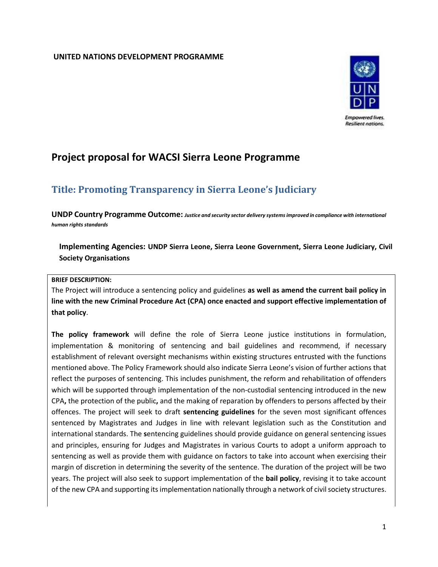#### **UNITED NATIONS DEVELOPMENT PROGRAMME**



# **Project proposal for WACSI Sierra Leone Programme**

# **Title: Promoting Transparency in Sierra Leone's Judiciary**

**UNDP Country Programme Outcome:** *Justice and security sector delivery systems improved in compliance with international human rights standards*

### **Implementing Agencies: UNDP Sierra Leone, Sierra Leone Government, Sierra Leone Judiciary, Civil Society Organisations**

#### **BRIEF DESCRIPTION:**

The Project will introduce a sentencing policy and guidelines **as well as amend the current bail policy in line with the new Criminal Procedure Act (CPA) once enacted and support effective implementation of that policy**.

**The policy framework** will define the role of Sierra Leone justice institutions in formulation, implementation & monitoring of sentencing and bail guidelines and recommend, if necessary establishment of relevant oversight mechanisms within existing structures entrusted with the functions mentioned above. The Policy Framework should also indicate Sierra Leone's vision of further actions that reflect the purposes of sentencing. This includes punishment, the reform and rehabilitation of offenders which will be supported through implementation of the non-custodial sentencing introduced in the new CPA**,** the protection of the public**,** and the making of reparation by offenders to persons affected by their offences. The project will seek to draft **sentencing guidelines** for the seven most significant offences sentenced by Magistrates and Judges in line with relevant legislation such as the Constitution and international standards. The **s**entencing guidelines should provide guidance on general sentencing issues and principles, ensuring for Judges and Magistrates in various Courts to adopt a uniform approach to sentencing as well as provide them with guidance on factors to take into account when exercising their margin of discretion in determining the severity of the sentence. The duration of the project will be two years. The project will also seek to support implementation of the **bail policy**, revising it to take account of the new CPA and supporting its implementation nationally through a network of civil society structures.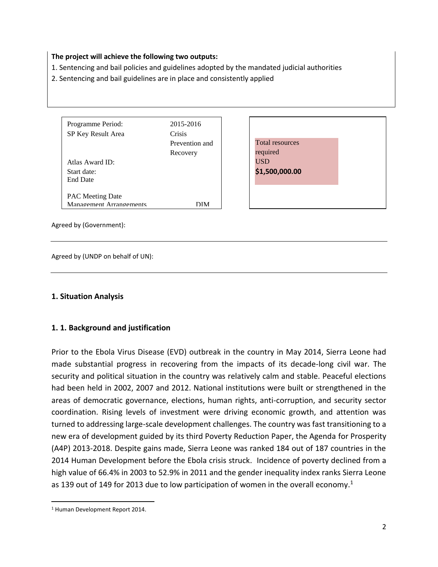#### **The project will achieve the following two outputs:**

- 1. Sentencing and bail policies and guidelines adopted by the mandated judicial authorities
- 2. Sentencing and bail guidelines are in place and consistently applied

| Programme Period:       | 2015-2016      |
|-------------------------|----------------|
| SP Key Result Area      | Crisis         |
|                         | Prevention and |
|                         | Recovery       |
| Atlas Award ID:         |                |
| Start date:             |                |
| <b>End Date</b>         |                |
|                         |                |
| <b>PAC Meeting Date</b> |                |
| Management Arrangements | ÐІM            |

Total resources required USD **\$1,500,000.00**

Agreed by (Government):

Agreed by (UNDP on behalf of UN):

#### **1. Situation Analysis**

#### **1. 1. Background and justification**

Prior to the Ebola Virus Disease (EVD) outbreak in the country in May 2014, Sierra Leone had made substantial progress in recovering from the impacts of its decade-long civil war. The security and political situation in the country was relatively calm and stable. Peaceful elections had been held in 2002, 2007 and 2012. National institutions were built or strengthened in the areas of democratic governance, elections, human rights, anti-corruption, and security sector coordination. Rising levels of investment were driving economic growth, and attention was turned to addressing large-scale development challenges. The country was fast transitioning to a new era of development guided by its third Poverty Reduction Paper, the Agenda for Prosperity (A4P) 2013-2018. Despite gains made, Sierra Leone was ranked 184 out of 187 countries in the 2014 Human Development before the Ebola crisis struck. Incidence of poverty declined from a high value of 66.4% in 2003 to 52.9% in 2011 and the gender inequality index ranks Sierra Leone as 139 out of 149 for 2013 due to low participation of women in the overall economy.<sup>1</sup>

 $\overline{a}$ 

<sup>1</sup> Human Development Report 2014.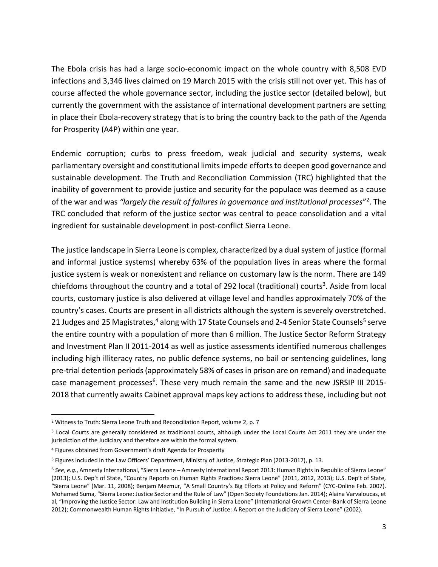The Ebola crisis has had a large socio-economic impact on the whole country with 8,508 EVD infections and 3,346 lives claimed on 19 March 2015 with the crisis still not over yet. This has of course affected the whole governance sector, including the justice sector (detailed below), but currently the government with the assistance of international development partners are setting in place their Ebola-recovery strategy that is to bring the country back to the path of the Agenda for Prosperity (A4P) within one year.

Endemic corruption; curbs to press freedom, weak judicial and security systems, weak parliamentary oversight and constitutional limits impede efforts to deepen good governance and sustainable development. The Truth and Reconciliation Commission (TRC) highlighted that the inability of government to provide justice and security for the populace was deemed as a cause of the war and was *"largely the result of failures in governance and institutional processes*" 2 . The TRC concluded that reform of the justice sector was central to peace consolidation and a vital ingredient for sustainable development in post-conflict Sierra Leone.

The justice landscape in Sierra Leone is complex, characterized by a dual system of justice (formal and informal justice systems) whereby 63% of the population lives in areas where the formal justice system is weak or nonexistent and reliance on customary law is the norm. There are 149 chiefdoms throughout the country and a total of 292 local (traditional) courts<sup>3</sup>. Aside from local courts, customary justice is also delivered at village level and handles approximately 70% of the country's cases. Courts are present in all districts although the system is severely overstretched. 21 Judges and 25 Magistrates,<sup>4</sup> along with 17 State Counsels and 2-4 Senior State Counsels<sup>5</sup> serve the entire country with a population of more than 6 million. The Justice Sector Reform Strategy and Investment Plan II 2011-2014 as well as justice assessments identified numerous challenges including high illiteracy rates, no public defence systems, no bail or sentencing guidelines, long pre-trial detention periods (approximately 58% of cases in prison are on remand) and inadequate case management processes<sup>6</sup>. These very much remain the same and the new JSRSIP III 2015-2018 that currently awaits Cabinet approval maps key actions to address these, including but not

l

<sup>&</sup>lt;sup>2</sup> Witness to Truth: Sierra Leone Truth and Reconciliation Report, volume 2, p. 7

<sup>3</sup> Local Courts are generally considered as traditional courts, although under the Local Courts Act 2011 they are under the jurisdiction of the Judiciary and therefore are within the formal system.

<sup>4</sup> Figures obtained from Government's draft Agenda for Prosperity

<sup>5</sup> Figures included in the Law Officers' Department, Ministry of Justice, Strategic Plan (2013-2017), p. 13.

<sup>6</sup> *See*, *e.g.*, Amnesty International, "Sierra Leone – Amnesty International Report 2013: Human Rights in Republic of Sierra Leone" (2013); U.S. Dep't of State, "Country Reports on Human Rights Practices: Sierra Leone" (2011, 2012, 2013); U.S. Dep't of State, "Sierra Leone" (Mar. 11, 2008); Benjam Mezmur, "A Small Country's Big Efforts at Policy and Reform" (CYC-Online Feb. 2007). Mohamed Suma, "Sierra Leone: Justice Sector and the Rule of Law" (Open Society Foundations Jan. 2014); Alaina Varvaloucas, et al, "Improving the Justice Sector: Law and Institution Building in Sierra Leone" (International Growth Center-Bank of Sierra Leone 2012); Commonwealth Human Rights Initiative, "In Pursuit of Justice: A Report on the Judiciary of Sierra Leone" (2002).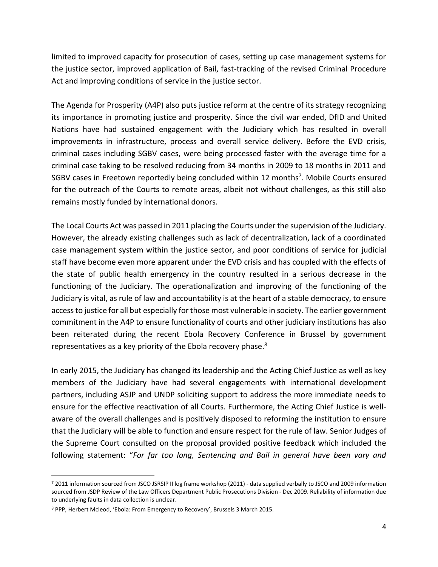limited to improved capacity for prosecution of cases, setting up case management systems for the justice sector, improved application of Bail, fast-tracking of the revised Criminal Procedure Act and improving conditions of service in the justice sector.

The Agenda for Prosperity (A4P) also puts justice reform at the centre of its strategy recognizing its importance in promoting justice and prosperity. Since the civil war ended, DfID and United Nations have had sustained engagement with the Judiciary which has resulted in overall improvements in infrastructure, process and overall service delivery. Before the EVD crisis, criminal cases including SGBV cases, were being processed faster with the average time for a criminal case taking to be resolved reducing from 34 months in 2009 to 18 months in 2011 and SGBV cases in Freetown reportedly being concluded within 12 months<sup>7</sup>. Mobile Courts ensured for the outreach of the Courts to remote areas, albeit not without challenges, as this still also remains mostly funded by international donors.

The Local Courts Act was passed in 2011 placing the Courts under the supervision of the Judiciary. However, the already existing challenges such as lack of decentralization, lack of a coordinated case management system within the justice sector, and poor conditions of service for judicial staff have become even more apparent under the EVD crisis and has coupled with the effects of the state of public health emergency in the country resulted in a serious decrease in the functioning of the Judiciary. The operationalization and improving of the functioning of the Judiciary is vital, as rule of law and accountability is at the heart of a stable democracy, to ensure access to justice for all but especially for those most vulnerable in society. The earlier government commitment in the A4P to ensure functionality of courts and other judiciary institutions has also been reiterated during the recent Ebola Recovery Conference in Brussel by government representatives as a key priority of the Ebola recovery phase. $^{8}$ 

In early 2015, the Judiciary has changed its leadership and the Acting Chief Justice as well as key members of the Judiciary have had several engagements with international development partners, including ASJP and UNDP soliciting support to address the more immediate needs to ensure for the effective reactivation of all Courts. Furthermore, the Acting Chief Justice is wellaware of the overall challenges and is positively disposed to reforming the institution to ensure that the Judiciary will be able to function and ensure respect for the rule of law. Senior Judges of the Supreme Court consulted on the proposal provided positive feedback which included the following statement: "*For far too long, Sentencing and Bail in general have been vary and* 

 $\overline{\phantom{a}}$ 

<sup>7</sup> 2011 information sourced from JSCO JSRSIP II log frame workshop (2011) - data supplied verbally to JSCO and 2009 information sourced from JSDP Review of the Law Officers Department Public Prosecutions Division - Dec 2009. Reliability of information due to underlying faults in data collection is unclear.

<sup>8</sup> PPP, Herbert Mcleod, 'Ebola: From Emergency to Recovery', Brussels 3 March 2015.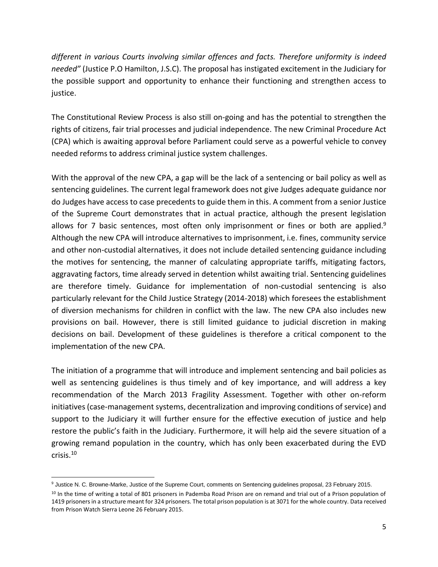*different in various Courts involving similar offences and facts. Therefore uniformity is indeed needed"* (Justice P.O Hamilton, J.S.C). The proposal has instigated excitement in the Judiciary for the possible support and opportunity to enhance their functioning and strengthen access to justice.

The Constitutional Review Process is also still on-going and has the potential to strengthen the rights of citizens, fair trial processes and judicial independence. The new Criminal Procedure Act (CPA) which is awaiting approval before Parliament could serve as a powerful vehicle to convey needed reforms to address criminal justice system challenges.

With the approval of the new CPA, a gap will be the lack of a sentencing or bail policy as well as sentencing guidelines. The current legal framework does not give Judges adequate guidance nor do Judges have access to case precedents to guide them in this. A comment from a senior Justice of the Supreme Court demonstrates that in actual practice, although the present legislation allows for 7 basic sentences, most often only imprisonment or fines or both are applied.<sup>9</sup> Although the new CPA will introduce alternatives to imprisonment, i.e. fines, community service and other non-custodial alternatives, it does not include detailed sentencing guidance including the motives for sentencing, the manner of calculating appropriate tariffs, mitigating factors, aggravating factors, time already served in detention whilst awaiting trial. Sentencing guidelines are therefore timely. Guidance for implementation of non-custodial sentencing is also particularly relevant for the Child Justice Strategy (2014-2018) which foresees the establishment of diversion mechanisms for children in conflict with the law. The new CPA also includes new provisions on bail. However, there is still limited guidance to judicial discretion in making decisions on bail. Development of these guidelines is therefore a critical component to the implementation of the new CPA.

The initiation of a programme that will introduce and implement sentencing and bail policies as well as sentencing guidelines is thus timely and of key importance, and will address a key recommendation of the March 2013 Fragility Assessment. Together with other on-reform initiatives (case-management systems, decentralization and improving conditions of service) and support to the Judiciary it will further ensure for the effective execution of justice and help restore the public's faith in the Judiciary. Furthermore, it will help aid the severe situation of a growing remand population in the country, which has only been exacerbated during the EVD crisis.<sup>10</sup>

l <sup>9</sup> Justice N. C. Browne-Marke, Justice of the Supreme Court, comments on Sentencing guidelines proposal, 23 February 2015.

<sup>10</sup> In the time of writing a total of 801 prisoners in Pademba Road Prison are on remand and trial out of a Prison population of 1419 prisoners in a structure meant for 324 prisoners. The total prison population is at 3071 for the whole country. Data received from Prison Watch Sierra Leone 26 February 2015.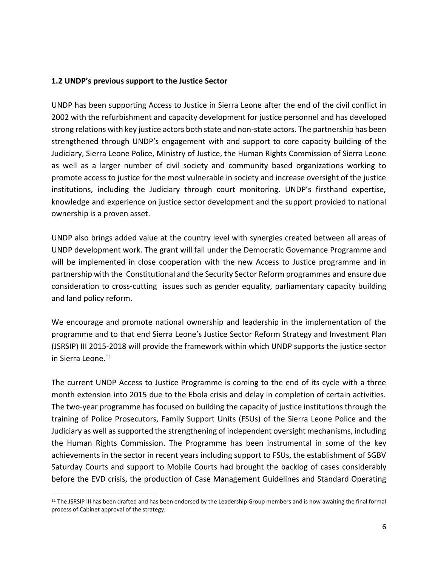#### **1.2 UNDP's previous support to the Justice Sector**

UNDP has been supporting Access to Justice in Sierra Leone after the end of the civil conflict in 2002 with the refurbishment and capacity development for justice personnel and has developed strong relations with key justice actors both state and non-state actors. The partnership has been strengthened through UNDP's engagement with and support to core capacity building of the Judiciary, Sierra Leone Police, Ministry of Justice, the Human Rights Commission of Sierra Leone as well as a larger number of civil society and community based organizations working to promote access to justice for the most vulnerable in society and increase oversight of the justice institutions, including the Judiciary through court monitoring. UNDP's firsthand expertise, knowledge and experience on justice sector development and the support provided to national ownership is a proven asset.

UNDP also brings added value at the country level with synergies created between all areas of UNDP development work. The grant will fall under the Democratic Governance Programme and will be implemented in close cooperation with the new Access to Justice programme and in partnership with the Constitutional and the Security Sector Reform programmes and ensure due consideration to cross-cutting issues such as gender equality, parliamentary capacity building and land policy reform.

We encourage and promote national ownership and leadership in the implementation of the programme and to that end Sierra Leone's Justice Sector Reform Strategy and Investment Plan (JSRSIP) III 2015-2018 will provide the framework within which UNDP supports the justice sector in Sierra Leone.<sup>11</sup>

The current UNDP Access to Justice Programme is coming to the end of its cycle with a three month extension into 2015 due to the Ebola crisis and delay in completion of certain activities. The two-year programme has focused on building the capacity of justice institutions through the training of Police Prosecutors, Family Support Units (FSUs) of the Sierra Leone Police and the Judiciary as well as supported the strengthening of independent oversight mechanisms, including the Human Rights Commission. The Programme has been instrumental in some of the key achievements in the sector in recent years including support to FSUs, the establishment of SGBV Saturday Courts and support to Mobile Courts had brought the backlog of cases considerably before the EVD crisis, the production of Case Management Guidelines and Standard Operating

 $\overline{a}$ 

<sup>11</sup> The JSRSIP III has been drafted and has been endorsed by the Leadership Group members and is now awaiting the final formal process of Cabinet approval of the strategy.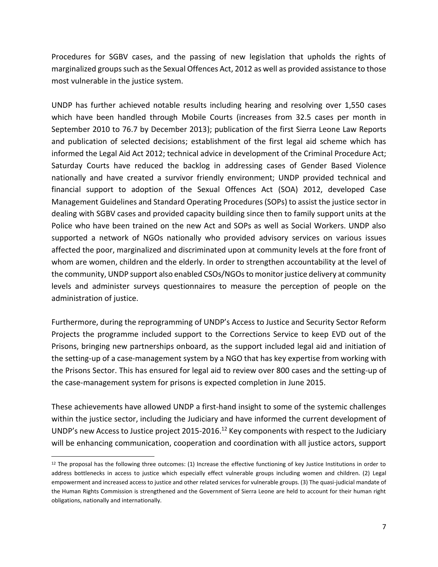Procedures for SGBV cases, and the passing of new legislation that upholds the rights of marginalized groups such as the Sexual Offences Act, 2012 as well as provided assistance to those most vulnerable in the justice system.

UNDP has further achieved notable results including hearing and resolving over 1,550 cases which have been handled through Mobile Courts (increases from 32.5 cases per month in September 2010 to 76.7 by December 2013); publication of the first Sierra Leone Law Reports and publication of selected decisions; establishment of the first legal aid scheme which has informed the Legal Aid Act 2012; technical advice in development of the Criminal Procedure Act; Saturday Courts have reduced the backlog in addressing cases of Gender Based Violence nationally and have created a survivor friendly environment; UNDP provided technical and financial support to adoption of the Sexual Offences Act (SOA) 2012, developed Case Management Guidelines and Standard Operating Procedures (SOPs) to assist the justice sector in dealing with SGBV cases and provided capacity building since then to family support units at the Police who have been trained on the new Act and SOPs as well as Social Workers. UNDP also supported a network of NGOs nationally who provided advisory services on various issues affected the poor, marginalized and discriminated upon at community levels at the fore front of whom are women, children and the elderly. In order to strengthen accountability at the level of the community, UNDP support also enabled CSOs/NGOs to monitor justice delivery at community levels and administer surveys questionnaires to measure the perception of people on the administration of justice.

Furthermore, during the reprogramming of UNDP's Access to Justice and Security Sector Reform Projects the programme included support to the Corrections Service to keep EVD out of the Prisons, bringing new partnerships onboard, as the support included legal aid and initiation of the setting-up of a case-management system by a NGO that has key expertise from working with the Prisons Sector. This has ensured for legal aid to review over 800 cases and the setting-up of the case-management system for prisons is expected completion in June 2015.

These achievements have allowed UNDP a first-hand insight to some of the systemic challenges within the justice sector, including the Judiciary and have informed the current development of UNDP's new Access to Justice project 2015-2016.<sup>12</sup> Key components with respect to the Judiciary will be enhancing communication, cooperation and coordination with all justice actors, support

 $\overline{\phantom{a}}$ 

<sup>12</sup> The proposal has the following three outcomes: (1) Increase the effective functioning of key Justice Institutions in order to address bottlenecks in access to justice which especially effect vulnerable groups including women and children. (2) Legal empowerment and increased access to justice and other related services for vulnerable groups. (3) The quasi-judicial mandate of the Human Rights Commission is strengthened and the Government of Sierra Leone are held to account for their human right obligations, nationally and internationally.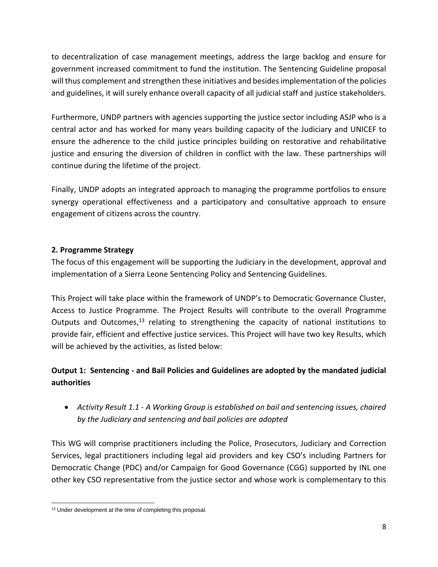to decentralization of case management meetings, address the large backlog and ensure for government increased commitment to fund the institution. The Sentencing Guideline proposal will thus complement and strengthen these initiatives and besides implementation of the policies and guidelines, it will surely enhance overall capacity of all judicial staff and justice stakeholders.

Furthermore, UNDP partners with agencies supporting the justice sector including ASJP who is a central actor and has worked for many years building capacity of the Judiciary and UNICEF to ensure the adherence to the child justice principles building on restorative and rehabilitative justice and ensuring the diversion of children in conflict with the law. These partnerships will continue during the lifetime of the project.

Finally, UNDP adopts an integrated approach to managing the programme portfolios to ensure synergy operational effectiveness and a participatory and consultative approach to ensure engagement of citizens across the country.

## **2. Programme Strategy**

The focus of this engagement will be supporting the Judiciary in the development, approval and implementation of a Sierra Leone Sentencing Policy and Sentencing Guidelines.

This Project will take place within the framework of UNDP's to Democratic Governance Cluster, Access to Justice Programme. The Project Results will contribute to the overall Programme Outputs and Outcomes, $^{13}$  relating to strengthening the capacity of national institutions to provide fair, efficient and effective justice services. This Project will have two key Results, which will be achieved by the activities, as listed below:

# **Output 1: Sentencing - and Bail Policies and Guidelines are adopted by the mandated judicial authorities**

• *Activity Result 1.1 - A Working Group is established on bail and sentencing issues, chaired by the Judiciary and sentencing and bail policies are adopted*

This WG will comprise practitioners including the Police, Prosecutors, Judiciary and Correction Services, legal practitioners including legal aid providers and key CSO's including Partners for Democratic Change (PDC) and/or Campaign for Good Governance (CGG) supported by INL one other key CSO representative from the justice sector and whose work is complementary to this

 $\overline{\phantom{a}}$ <sup>13</sup> Under development at the time of completing this proposal.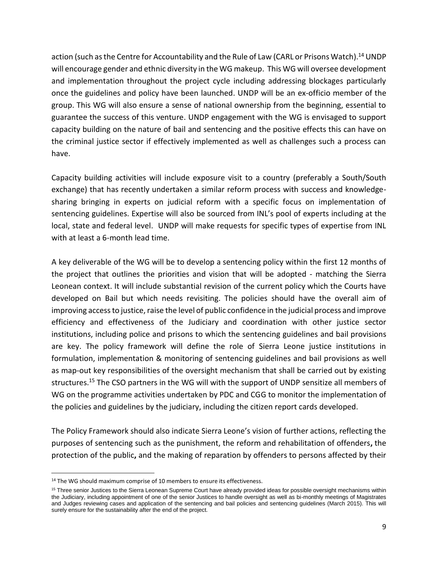action (such as the Centre for Accountability and the Rule of Law (CARL or Prisons Watch).<sup>14</sup> UNDP will encourage gender and ethnic diversity in the WG makeup. This WG will oversee development and implementation throughout the project cycle including addressing blockages particularly once the guidelines and policy have been launched. UNDP will be an ex-officio member of the group. This WG will also ensure a sense of national ownership from the beginning, essential to guarantee the success of this venture. UNDP engagement with the WG is envisaged to support capacity building on the nature of bail and sentencing and the positive effects this can have on the criminal justice sector if effectively implemented as well as challenges such a process can have.

Capacity building activities will include exposure visit to a country (preferably a South/South exchange) that has recently undertaken a similar reform process with success and knowledgesharing bringing in experts on judicial reform with a specific focus on implementation of sentencing guidelines. Expertise will also be sourced from INL's pool of experts including at the local, state and federal level. UNDP will make requests for specific types of expertise from INL with at least a 6-month lead time.

A key deliverable of the WG will be to develop a sentencing policy within the first 12 months of the project that outlines the priorities and vision that will be adopted - matching the Sierra Leonean context. It will include substantial revision of the current policy which the Courts have developed on Bail but which needs revisiting. The policies should have the overall aim of improving access to justice, raise the level of public confidence in the judicial process and improve efficiency and effectiveness of the Judiciary and coordination with other justice sector institutions, including police and prisons to which the sentencing guidelines and bail provisions are key. The policy framework will define the role of Sierra Leone justice institutions in formulation, implementation & monitoring of sentencing guidelines and bail provisions as well as map-out key responsibilities of the oversight mechanism that shall be carried out by existing structures.<sup>15</sup> The CSO partners in the WG will with the support of UNDP sensitize all members of WG on the programme activities undertaken by PDC and CGG to monitor the implementation of the policies and guidelines by the judiciary, including the citizen report cards developed.

The Policy Framework should also indicate Sierra Leone's vision of further actions, reflecting the purposes of sentencing such as the punishment, the reform and rehabilitation of offenders**,** the protection of the public**,** and the making of reparation by offenders to persons affected by their

l

<sup>&</sup>lt;sup>14</sup> The WG should maximum comprise of 10 members to ensure its effectiveness.

<sup>&</sup>lt;sup>15</sup> Three senior Justices to the Sierra Leonean Supreme Court have already provided ideas for possible oversight mechanisms within the Judiciary, including appointment of one of the senior Justices to handle oversight as well as bi-monthly meetings of Magistrates and Judges reviewing cases and application of the sentencing and bail policies and sentencing guidelines (March 2015). This will surely ensure for the sustainability after the end of the project.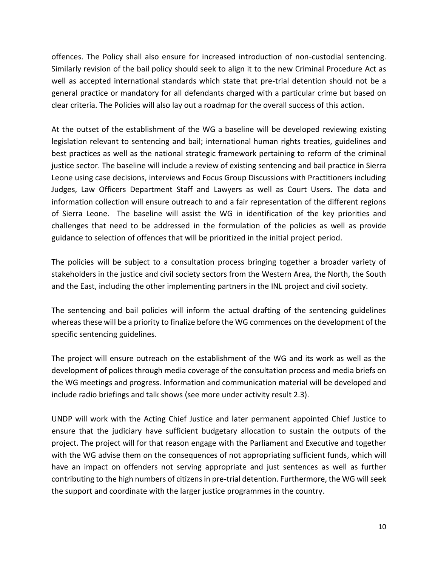offences. The Policy shall also ensure for increased introduction of non-custodial sentencing. Similarly revision of the bail policy should seek to align it to the new Criminal Procedure Act as well as accepted international standards which state that pre-trial detention should not be a general practice or mandatory for all defendants charged with a particular crime but based on clear criteria. The Policies will also lay out a roadmap for the overall success of this action.

At the outset of the establishment of the WG a baseline will be developed reviewing existing legislation relevant to sentencing and bail; international human rights treaties, guidelines and best practices as well as the national strategic framework pertaining to reform of the criminal justice sector. The baseline will include a review of existing sentencing and bail practice in Sierra Leone using case decisions, interviews and Focus Group Discussions with Practitioners including Judges, Law Officers Department Staff and Lawyers as well as Court Users. The data and information collection will ensure outreach to and a fair representation of the different regions of Sierra Leone. The baseline will assist the WG in identification of the key priorities and challenges that need to be addressed in the formulation of the policies as well as provide guidance to selection of offences that will be prioritized in the initial project period.

The policies will be subject to a consultation process bringing together a broader variety of stakeholders in the justice and civil society sectors from the Western Area, the North, the South and the East, including the other implementing partners in the INL project and civil society.

The sentencing and bail policies will inform the actual drafting of the sentencing guidelines whereas these will be a priority to finalize before the WG commences on the development of the specific sentencing guidelines.

The project will ensure outreach on the establishment of the WG and its work as well as the development of polices through media coverage of the consultation process and media briefs on the WG meetings and progress. Information and communication material will be developed and include radio briefings and talk shows (see more under activity result 2.3).

UNDP will work with the Acting Chief Justice and later permanent appointed Chief Justice to ensure that the judiciary have sufficient budgetary allocation to sustain the outputs of the project. The project will for that reason engage with the Parliament and Executive and together with the WG advise them on the consequences of not appropriating sufficient funds, which will have an impact on offenders not serving appropriate and just sentences as well as further contributing to the high numbers of citizens in pre-trial detention. Furthermore, the WG will seek the support and coordinate with the larger justice programmes in the country.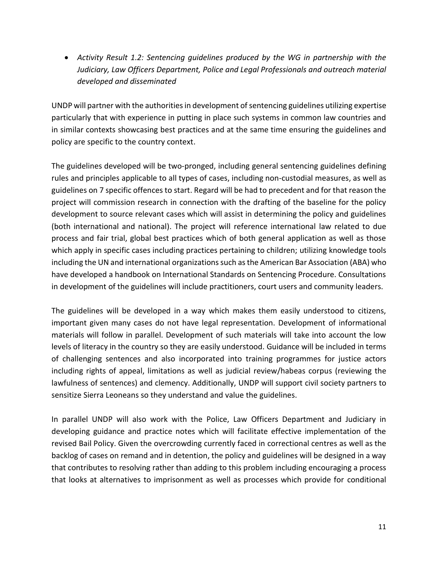• *Activity Result 1.2: Sentencing guidelines produced by the WG in partnership with the Judiciary, Law Officers Department, Police and Legal Professionals and outreach material developed and disseminated*

UNDP will partner with the authorities in development of sentencing guidelines utilizing expertise particularly that with experience in putting in place such systems in common law countries and in similar contexts showcasing best practices and at the same time ensuring the guidelines and policy are specific to the country context.

The guidelines developed will be two-pronged, including general sentencing guidelines defining rules and principles applicable to all types of cases, including non-custodial measures, as well as guidelines on 7 specific offences to start. Regard will be had to precedent and for that reason the project will commission research in connection with the drafting of the baseline for the policy development to source relevant cases which will assist in determining the policy and guidelines (both international and national). The project will reference international law related to due process and fair trial, global best practices which of both general application as well as those which apply in specific cases including practices pertaining to children; utilizing knowledge tools including the UN and international organizations such as the American Bar Association (ABA) who have developed a handbook on International Standards on Sentencing Procedure. Consultations in development of the guidelines will include practitioners, court users and community leaders.

The guidelines will be developed in a way which makes them easily understood to citizens, important given many cases do not have legal representation. Development of informational materials will follow in parallel. Development of such materials will take into account the low levels of literacy in the country so they are easily understood. Guidance will be included in terms of challenging sentences and also incorporated into training programmes for justice actors including rights of appeal, limitations as well as judicial review/habeas corpus (reviewing the lawfulness of sentences) and clemency. Additionally, UNDP will support civil society partners to sensitize Sierra Leoneans so they understand and value the guidelines.

In parallel UNDP will also work with the Police, Law Officers Department and Judiciary in developing guidance and practice notes which will facilitate effective implementation of the revised Bail Policy. Given the overcrowding currently faced in correctional centres as well as the backlog of cases on remand and in detention, the policy and guidelines will be designed in a way that contributes to resolving rather than adding to this problem including encouraging a process that looks at alternatives to imprisonment as well as processes which provide for conditional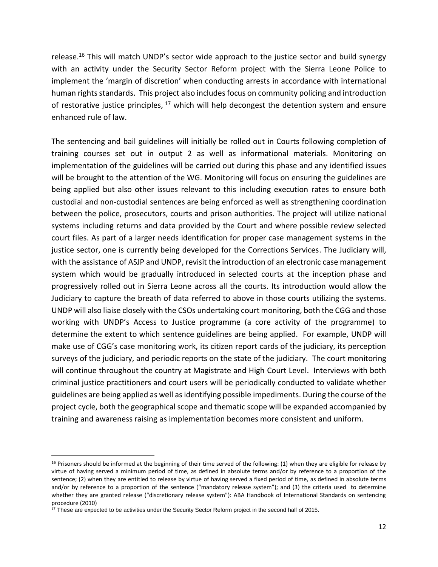release.<sup>16</sup> This will match UNDP's sector wide approach to the justice sector and build synergy with an activity under the Security Sector Reform project with the Sierra Leone Police to implement the 'margin of discretion' when conducting arrests in accordance with international human rights standards. This project also includes focus on community policing and introduction of restorative justice principles,  $17$  which will help decongest the detention system and ensure enhanced rule of law.

The sentencing and bail guidelines will initially be rolled out in Courts following completion of training courses set out in output 2 as well as informational materials. Monitoring on implementation of the guidelines will be carried out during this phase and any identified issues will be brought to the attention of the WG. Monitoring will focus on ensuring the guidelines are being applied but also other issues relevant to this including execution rates to ensure both custodial and non-custodial sentences are being enforced as well as strengthening coordination between the police, prosecutors, courts and prison authorities. The project will utilize national systems including returns and data provided by the Court and where possible review selected court files. As part of a larger needs identification for proper case management systems in the justice sector, one is currently being developed for the Corrections Services. The Judiciary will, with the assistance of ASJP and UNDP, revisit the introduction of an electronic case management system which would be gradually introduced in selected courts at the inception phase and progressively rolled out in Sierra Leone across all the courts. Its introduction would allow the Judiciary to capture the breath of data referred to above in those courts utilizing the systems. UNDP will also liaise closely with the CSOs undertaking court monitoring, both the CGG and those working with UNDP's Access to Justice programme (a core activity of the programme) to determine the extent to which sentence guidelines are being applied. For example, UNDP will make use of CGG's case monitoring work, its citizen report cards of the judiciary, its perception surveys of the judiciary, and periodic reports on the state of the judiciary. The court monitoring will continue throughout the country at Magistrate and High Court Level. Interviews with both criminal justice practitioners and court users will be periodically conducted to validate whether guidelines are being applied as well as identifying possible impediments. During the course of the project cycle, both the geographical scope and thematic scope will be expanded accompanied by training and awareness raising as implementation becomes more consistent and uniform.

l

 $16$  Prisoners should be informed at the beginning of their time served of the following: (1) when they are eligible for release by virtue of having served a minimum period of time, as defined in absolute terms and/or by reference to a proportion of the sentence; (2) when they are entitled to release by virtue of having served a fixed period of time, as defined in absolute terms and/or by reference to a proportion of the sentence ("mandatory release system"); and (3) the criteria used to determine whether they are granted release ("discretionary release system"): ABA Handbook of International Standards on sentencing procedure (2010)

 $17$  These are expected to be activities under the Security Sector Reform project in the second half of 2015.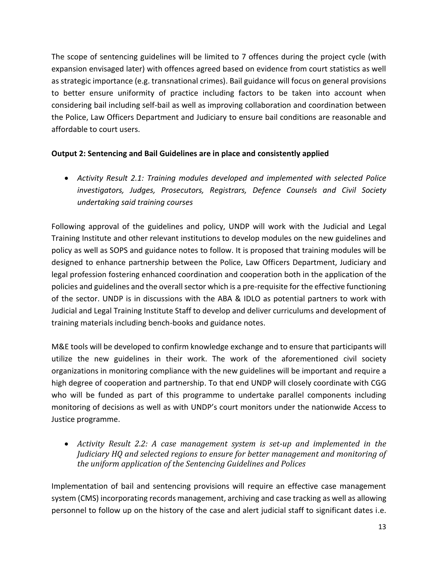The scope of sentencing guidelines will be limited to 7 offences during the project cycle (with expansion envisaged later) with offences agreed based on evidence from court statistics as well as strategic importance (e.g. transnational crimes). Bail guidance will focus on general provisions to better ensure uniformity of practice including factors to be taken into account when considering bail including self-bail as well as improving collaboration and coordination between the Police, Law Officers Department and Judiciary to ensure bail conditions are reasonable and affordable to court users.

# **Output 2: Sentencing and Bail Guidelines are in place and consistently applied**

• *Activity Result 2.1: Training modules developed and implemented with selected Police investigators, Judges, Prosecutors, Registrars, Defence Counsels and Civil Society undertaking said training courses*

Following approval of the guidelines and policy, UNDP will work with the Judicial and Legal Training Institute and other relevant institutions to develop modules on the new guidelines and policy as well as SOPS and guidance notes to follow. It is proposed that training modules will be designed to enhance partnership between the Police, Law Officers Department, Judiciary and legal profession fostering enhanced coordination and cooperation both in the application of the policies and guidelines and the overall sector which is a pre-requisite for the effective functioning of the sector. UNDP is in discussions with the ABA & IDLO as potential partners to work with Judicial and Legal Training Institute Staff to develop and deliver curriculums and development of training materials including bench-books and guidance notes.

M&E tools will be developed to confirm knowledge exchange and to ensure that participants will utilize the new guidelines in their work. The work of the aforementioned civil society organizations in monitoring compliance with the new guidelines will be important and require a high degree of cooperation and partnership. To that end UNDP will closely coordinate with CGG who will be funded as part of this programme to undertake parallel components including monitoring of decisions as well as with UNDP's court monitors under the nationwide Access to Justice programme.

• *Activity Result 2.2: A case management system is set-up and implemented in the Judiciary HQ and selected regions to ensure for better management and monitoring of the uniform application of the Sentencing Guidelines and Polices*

Implementation of bail and sentencing provisions will require an effective case management system (CMS) incorporating records management, archiving and case tracking as well as allowing personnel to follow up on the history of the case and alert judicial staff to significant dates i.e.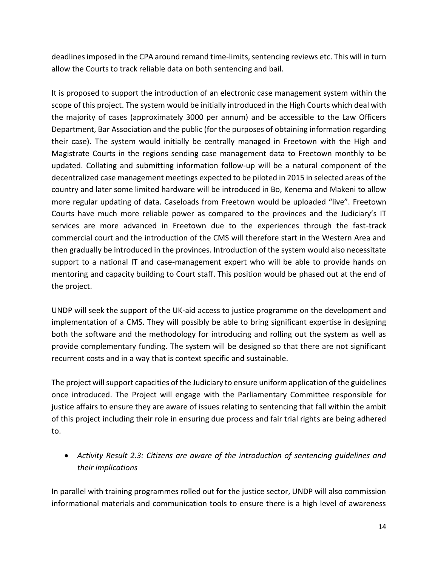deadlines imposed in the CPA around remand time-limits, sentencing reviews etc. This will in turn allow the Courts to track reliable data on both sentencing and bail.

It is proposed to support the introduction of an electronic case management system within the scope of this project. The system would be initially introduced in the High Courts which deal with the majority of cases (approximately 3000 per annum) and be accessible to the Law Officers Department, Bar Association and the public (for the purposes of obtaining information regarding their case). The system would initially be centrally managed in Freetown with the High and Magistrate Courts in the regions sending case management data to Freetown monthly to be updated. Collating and submitting information follow-up will be a natural component of the decentralized case management meetings expected to be piloted in 2015 in selected areas of the country and later some limited hardware will be introduced in Bo, Kenema and Makeni to allow more regular updating of data. Caseloads from Freetown would be uploaded "live". Freetown Courts have much more reliable power as compared to the provinces and the Judiciary's IT services are more advanced in Freetown due to the experiences through the fast-track commercial court and the introduction of the CMS will therefore start in the Western Area and then gradually be introduced in the provinces. Introduction of the system would also necessitate support to a national IT and case-management expert who will be able to provide hands on mentoring and capacity building to Court staff. This position would be phased out at the end of the project.

UNDP will seek the support of the UK-aid access to justice programme on the development and implementation of a CMS. They will possibly be able to bring significant expertise in designing both the software and the methodology for introducing and rolling out the system as well as provide complementary funding. The system will be designed so that there are not significant recurrent costs and in a way that is context specific and sustainable.

The project will support capacities of the Judiciary to ensure uniform application of the guidelines once introduced. The Project will engage with the Parliamentary Committee responsible for justice affairs to ensure they are aware of issues relating to sentencing that fall within the ambit of this project including their role in ensuring due process and fair trial rights are being adhered to.

• *Activity Result 2.3: Citizens are aware of the introduction of sentencing guidelines and their implications*

In parallel with training programmes rolled out for the justice sector, UNDP will also commission informational materials and communication tools to ensure there is a high level of awareness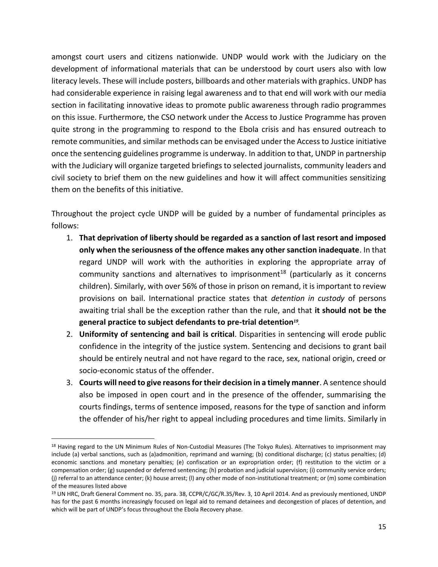amongst court users and citizens nationwide. UNDP would work with the Judiciary on the development of informational materials that can be understood by court users also with low literacy levels. These will include posters, billboards and other materials with graphics. UNDP has had considerable experience in raising legal awareness and to that end will work with our media section in facilitating innovative ideas to promote public awareness through radio programmes on this issue. Furthermore, the CSO network under the Access to Justice Programme has proven quite strong in the programming to respond to the Ebola crisis and has ensured outreach to remote communities, and similar methods can be envisaged under the Access to Justice initiative once the sentencing guidelines programme is underway. In addition to that, UNDP in partnership with the Judiciary will organize targeted briefings to selected journalists, community leaders and civil society to brief them on the new guidelines and how it will affect communities sensitizing them on the benefits of this initiative.

Throughout the project cycle UNDP will be guided by a number of fundamental principles as follows:

- 1. **That deprivation of liberty should be regarded as a sanction of last resort and imposed only when the seriousness of the offence makes any other sanction inadequate**. In that regard UNDP will work with the authorities in exploring the appropriate array of community sanctions and alternatives to imprisonment<sup>18</sup> (particularly as it concerns children). Similarly, with over 56% of those in prison on remand, it is important to review provisions on bail. International practice states that *detention in custody* of persons awaiting trial shall be the exception rather than the rule, and that **it should not be the general practice to subject defendants to pre-trial detention***<sup>19</sup> .*
- 2. **Uniformity of sentencing and bail is critical**. Disparities in sentencing will erode public confidence in the integrity of the justice system. Sentencing and decisions to grant bail should be entirely neutral and not have regard to the race, sex, national origin, creed or socio-economic status of the offender.
- 3. **Courts will need to give reasons for their decision in a timely manner**. A sentence should also be imposed in open court and in the presence of the offender, summarising the courts findings, terms of sentence imposed, reasons for the type of sanction and inform the offender of his/her right to appeal including procedures and time limits. Similarly in

 $\overline{\phantom{a}}$ 

<sup>&</sup>lt;sup>18</sup> Having regard to the UN Minimum Rules of Non-Custodial Measures (The Tokyo Rules). Alternatives to imprisonment may include (a) verbal sanctions, such as (a)admonition, reprimand and warning; (b) conditional discharge; (c) status penalties; (d) economic sanctions and monetary penalties; (e) confiscation or an expropriation order; (f) restitution to the victim or a compensation order; (g) suspended or deferred sentencing; (h) probation and judicial supervision; (i) community service orders; (j) referral to an attendance center; (k) house arrest; (l) any other mode of non-institutional treatment; or (m) some combination of the measures listed above

<sup>19</sup> UN HRC, Draft General Comment no. 35, para. 38, CCPR/C/GC/R.35/Rev. 3, 10 April 2014. And as previously mentioned, UNDP has for the past 6 months increasingly focused on legal aid to remand detainees and decongestion of places of detention, and which will be part of UNDP's focus throughout the Ebola Recovery phase.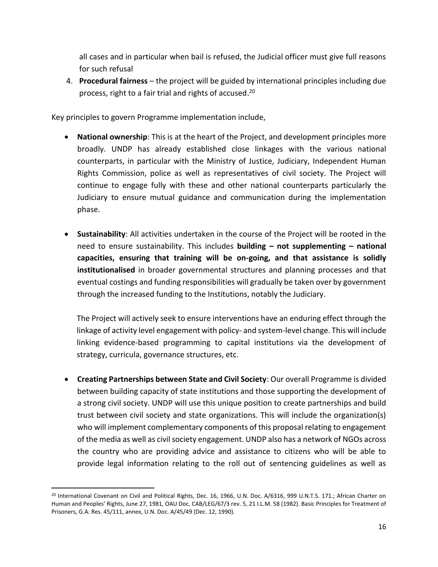all cases and in particular when bail is refused, the Judicial officer must give full reasons for such refusal

4. **Procedural fairness** – the project will be guided by international principles including due process, right to a fair trial and rights of accused. 20

Key principles to govern Programme implementation include,

- **National ownership**: This is at the heart of the Project, and development principles more broadly. UNDP has already established close linkages with the various national counterparts, in particular with the Ministry of Justice, Judiciary, Independent Human Rights Commission, police as well as representatives of civil society. The Project will continue to engage fully with these and other national counterparts particularly the Judiciary to ensure mutual guidance and communication during the implementation phase.
- **Sustainability**: All activities undertaken in the course of the Project will be rooted in the need to ensure sustainability. This includes **building – not supplementing – national capacities, ensuring that training will be on-going, and that assistance is solidly institutionalised** in broader governmental structures and planning processes and that eventual costings and funding responsibilities will gradually be taken over by government through the increased funding to the Institutions, notably the Judiciary.

The Project will actively seek to ensure interventions have an enduring effect through the linkage of activity level engagement with policy- and system-level change. This will include linking evidence-based programming to capital institutions via the development of strategy, curricula, governance structures, etc.

• **Creating Partnerships between State and Civil Society**: Our overall Programme is divided between building capacity of state institutions and those supporting the development of a strong civil society. UNDP will use this unique position to create partnerships and build trust between civil society and state organizations. This will include the organization(s) who will implement complementary components of this proposal relating to engagement of the media as well as civil society engagement. UNDP also has a network of NGOs across the country who are providing advice and assistance to citizens who will be able to provide legal information relating to the roll out of sentencing guidelines as well as

 $\overline{\phantom{a}}$ 

<sup>20</sup> International Covenant on Civil and Political Rights, Dec. 16, 1966, U.N. Doc. A/6316, 999 U.N.T.S. 171.; African Charter on Human and Peoples' Rights, June 27, 1981, OAU Doc. CAB/LEG/67/3 rev. 5, 21 I.L.M. 58 (1982). Basic Principles for Treatment of Prisoners, G.A. Res. 45/111, annex, U.N. Doc. A/45/49 (Dec. 12, 1990).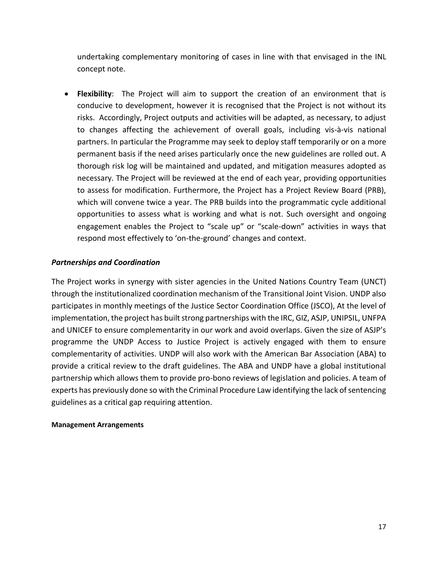undertaking complementary monitoring of cases in line with that envisaged in the INL concept note.

• **Flexibility**: The Project will aim to support the creation of an environment that is conducive to development, however it is recognised that the Project is not without its risks. Accordingly, Project outputs and activities will be adapted, as necessary, to adjust to changes affecting the achievement of overall goals, including vis-à-vis national partners. In particular the Programme may seek to deploy staff temporarily or on a more permanent basis if the need arises particularly once the new guidelines are rolled out. A thorough risk log will be maintained and updated, and mitigation measures adopted as necessary. The Project will be reviewed at the end of each year, providing opportunities to assess for modification. Furthermore, the Project has a Project Review Board (PRB), which will convene twice a year. The PRB builds into the programmatic cycle additional opportunities to assess what is working and what is not. Such oversight and ongoing engagement enables the Project to "scale up" or "scale-down" activities in ways that respond most effectively to 'on-the-ground' changes and context.

#### *Partnerships and Coordination*

The Project works in synergy with sister agencies in the United Nations Country Team (UNCT) through the institutionalized coordination mechanism of the Transitional Joint Vision. UNDP also participates in monthly meetings of the Justice Sector Coordination Office (JSCO), At the level of implementation, the project has built strong partnerships with the IRC, GIZ, ASJP, UNIPSIL, UNFPA and UNICEF to ensure complementarity in our work and avoid overlaps. Given the size of ASJP's programme the UNDP Access to Justice Project is actively engaged with them to ensure complementarity of activities. UNDP will also work with the American Bar Association (ABA) to provide a critical review to the draft guidelines. The ABA and UNDP have a global institutional partnership which allows them to provide pro-bono reviews of legislation and policies. A team of experts has previously done so with the Criminal Procedure Law identifying the lack of sentencing guidelines as a critical gap requiring attention.

#### **Management Arrangements**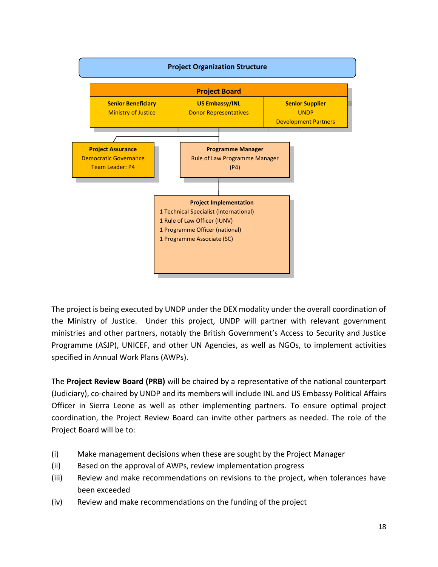

The project is being executed by UNDP under the DEX modality under the overall coordination of the Ministry of Justice. Under this project, UNDP will partner with relevant government ministries and other partners, notably the British Government's Access to Security and Justice Programme (ASJP), UNICEF, and other UN Agencies, as well as NGOs, to implement activities specified in Annual Work Plans (AWPs).

The **Project Review Board (PRB)** will be chaired by a representative of the national counterpart (Judiciary), co-chaired by UNDP and its members will include INL and US Embassy Political Affairs Officer in Sierra Leone as well as other implementing partners. To ensure optimal project coordination, the Project Review Board can invite other partners as needed. The role of the Project Board will be to:

- (i) Make management decisions when these are sought by the Project Manager
- (ii) Based on the approval of AWPs, review implementation progress
- (iii) Review and make recommendations on revisions to the project, when tolerances have been exceeded
- (iv) Review and make recommendations on the funding of the project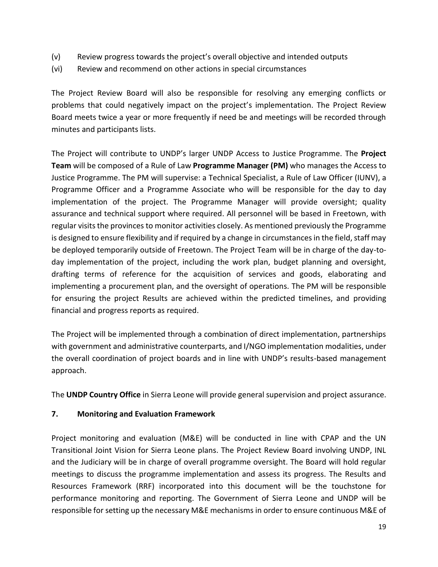- (v) Review progress towards the project's overall objective and intended outputs
- (vi) Review and recommend on other actions in special circumstances

The Project Review Board will also be responsible for resolving any emerging conflicts or problems that could negatively impact on the project's implementation. The Project Review Board meets twice a year or more frequently if need be and meetings will be recorded through minutes and participants lists.

The Project will contribute to UNDP's larger UNDP Access to Justice Programme. The **Project Team** will be composed of a Rule of Law **Programme Manager (PM)** who manages the Access to Justice Programme. The PM will supervise: a Technical Specialist, a Rule of Law Officer (IUNV), a Programme Officer and a Programme Associate who will be responsible for the day to day implementation of the project. The Programme Manager will provide oversight; quality assurance and technical support where required. All personnel will be based in Freetown, with regular visits the provinces to monitor activities closely. As mentioned previously the Programme is designed to ensure flexibility and if required by a change in circumstances in the field, staff may be deployed temporarily outside of Freetown. The Project Team will be in charge of the day-today implementation of the project, including the work plan, budget planning and oversight, drafting terms of reference for the acquisition of services and goods, elaborating and implementing a procurement plan, and the oversight of operations. The PM will be responsible for ensuring the project Results are achieved within the predicted timelines, and providing financial and progress reports as required.

The Project will be implemented through a combination of direct implementation, partnerships with government and administrative counterparts, and I/NGO implementation modalities, under the overall coordination of project boards and in line with UNDP's results-based management approach.

The **UNDP Country Office** in Sierra Leone will provide general supervision and project assurance.

#### **7. Monitoring and Evaluation Framework**

Project monitoring and evaluation (M&E) will be conducted in line with CPAP and the UN Transitional Joint Vision for Sierra Leone plans. The Project Review Board involving UNDP, INL and the Judiciary will be in charge of overall programme oversight. The Board will hold regular meetings to discuss the programme implementation and assess its progress. The Results and Resources Framework (RRF) incorporated into this document will be the touchstone for performance monitoring and reporting. The Government of Sierra Leone and UNDP will be responsible for setting up the necessary M&E mechanisms in order to ensure continuous M&E of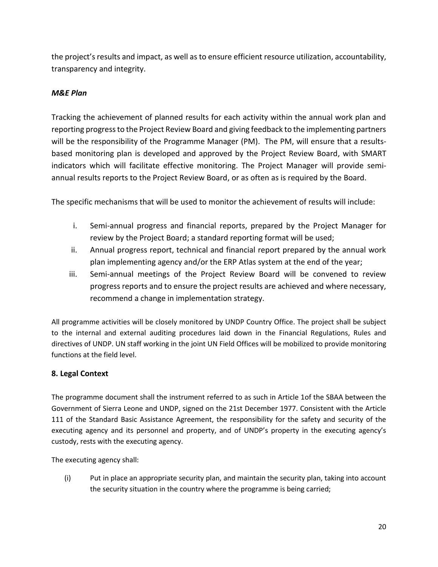the project's results and impact, as well as to ensure efficient resource utilization, accountability, transparency and integrity.

### *M&E Plan*

Tracking the achievement of planned results for each activity within the annual work plan and reporting progress to the Project Review Board and giving feedback to the implementing partners will be the responsibility of the Programme Manager (PM). The PM, will ensure that a resultsbased monitoring plan is developed and approved by the Project Review Board, with SMART indicators which will facilitate effective monitoring. The Project Manager will provide semiannual results reports to the Project Review Board, or as often as is required by the Board.

The specific mechanisms that will be used to monitor the achievement of results will include:

- i. Semi-annual progress and financial reports, prepared by the Project Manager for review by the Project Board; a standard reporting format will be used;
- ii. Annual progress report, technical and financial report prepared by the annual work plan implementing agency and/or the ERP Atlas system at the end of the year;
- iii. Semi-annual meetings of the Project Review Board will be convened to review progress reports and to ensure the project results are achieved and where necessary, recommend a change in implementation strategy.

All programme activities will be closely monitored by UNDP Country Office. The project shall be subject to the internal and external auditing procedures laid down in the Financial Regulations, Rules and directives of UNDP. UN staff working in the joint UN Field Offices will be mobilized to provide monitoring functions at the field level.

#### **8. Legal Context**

The programme document shall the instrument referred to as such in Article 1of the SBAA between the Government of Sierra Leone and UNDP, signed on the 21st December 1977. Consistent with the Article 111 of the Standard Basic Assistance Agreement, the responsibility for the safety and security of the executing agency and its personnel and property, and of UNDP's property in the executing agency's custody, rests with the executing agency.

The executing agency shall:

(i) Put in place an appropriate security plan, and maintain the security plan, taking into account the security situation in the country where the programme is being carried;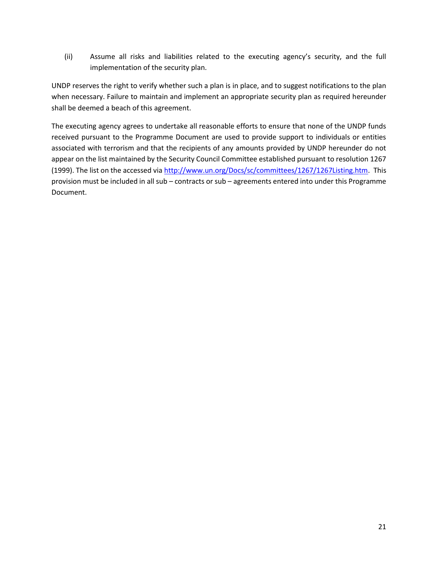(ii) Assume all risks and liabilities related to the executing agency's security, and the full implementation of the security plan.

UNDP reserves the right to verify whether such a plan is in place, and to suggest notifications to the plan when necessary. Failure to maintain and implement an appropriate security plan as required hereunder shall be deemed a beach of this agreement.

The executing agency agrees to undertake all reasonable efforts to ensure that none of the UNDP funds received pursuant to the Programme Document are used to provide support to individuals or entities associated with terrorism and that the recipients of any amounts provided by UNDP hereunder do not appear on the list maintained by the Security Council Committee established pursuant to resolution 1267 (1999). The list on the accessed vi[a http://www.un.org/Docs/sc/committees/1267/1267Listing.htm.](http://www.un.org/Docs/sc/committees/1267/1267Listing.htm) This provision must be included in all sub – contracts or sub – agreements entered into under this Programme Document.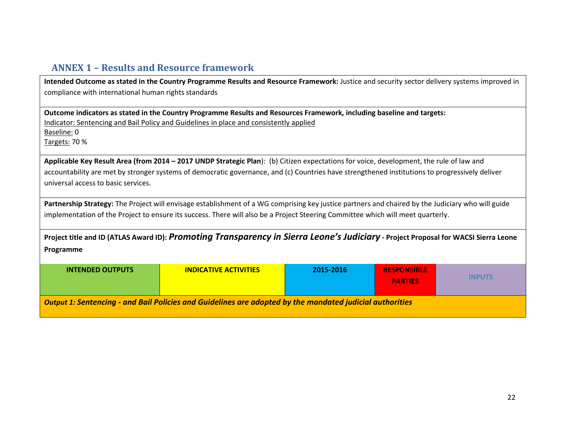# **ANNEX 1 – Results and Resource framework**

| Intended Outcome as stated in the Country Programme Results and Resource Framework: Justice and security sector delivery systems improved in<br>compliance with international human rights standards             |                                                                                                                                                   |           |                    |  |  |  |  |  |  |  |
|------------------------------------------------------------------------------------------------------------------------------------------------------------------------------------------------------------------|---------------------------------------------------------------------------------------------------------------------------------------------------|-----------|--------------------|--|--|--|--|--|--|--|
| Outcome indicators as stated in the Country Programme Results and Resources Framework, including baseline and targets:<br>Indicator: Sentencing and Bail Policy and Guidelines in place and consistently applied |                                                                                                                                                   |           |                    |  |  |  |  |  |  |  |
| Baseline: 0                                                                                                                                                                                                      |                                                                                                                                                   |           |                    |  |  |  |  |  |  |  |
| Targets: 70 %                                                                                                                                                                                                    |                                                                                                                                                   |           |                    |  |  |  |  |  |  |  |
|                                                                                                                                                                                                                  | Applicable Key Result Area (from 2014 - 2017 UNDP Strategic Plan): (b) Citizen expectations for voice, development, the rule of law and           |           |                    |  |  |  |  |  |  |  |
|                                                                                                                                                                                                                  | accountability are met by stronger systems of democratic governance, and (c) Countries have strengthened institutions to progressively deliver    |           |                    |  |  |  |  |  |  |  |
| universal access to basic services.                                                                                                                                                                              |                                                                                                                                                   |           |                    |  |  |  |  |  |  |  |
|                                                                                                                                                                                                                  | Partnership Strategy: The Project will envisage establishment of a WG comprising key justice partners and chaired by the Judiciary who will guide |           |                    |  |  |  |  |  |  |  |
|                                                                                                                                                                                                                  | implementation of the Project to ensure its success. There will also be a Project Steering Committee which will meet quarterly.                   |           |                    |  |  |  |  |  |  |  |
|                                                                                                                                                                                                                  | Project title and ID (ATLAS Award ID): Promoting Transparency in Sierra Leone's Judiciary - Project Proposal for WACSI Sierra Leone               |           |                    |  |  |  |  |  |  |  |
| Programme                                                                                                                                                                                                        |                                                                                                                                                   |           |                    |  |  |  |  |  |  |  |
| <b>INTENDED OUTPUTS</b>                                                                                                                                                                                          | <b>INDICATIVE ACTIVITIES</b>                                                                                                                      | 2015-2016 | <b>RESPONSIBLE</b> |  |  |  |  |  |  |  |
| <b>INPUTS</b><br><b>PARTIES</b>                                                                                                                                                                                  |                                                                                                                                                   |           |                    |  |  |  |  |  |  |  |
| <b>Output 1: Sentencing - and Bail Policies and Guidelines are adopted by the mandated judicial authorities</b>                                                                                                  |                                                                                                                                                   |           |                    |  |  |  |  |  |  |  |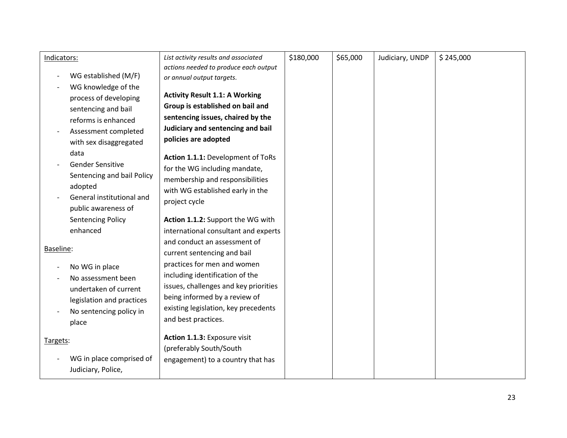| Indicators: |                            | List activity results and associated                               | \$180,000 | \$65,000 | Judiciary, UNDP | \$245,000 |
|-------------|----------------------------|--------------------------------------------------------------------|-----------|----------|-----------------|-----------|
|             | WG established (M/F)       | actions needed to produce each output<br>or annual output targets. |           |          |                 |           |
|             | WG knowledge of the        |                                                                    |           |          |                 |           |
|             | process of developing      | <b>Activity Result 1.1: A Working</b>                              |           |          |                 |           |
|             | sentencing and bail        | Group is established on bail and                                   |           |          |                 |           |
|             | reforms is enhanced        | sentencing issues, chaired by the                                  |           |          |                 |           |
|             | Assessment completed       | Judiciary and sentencing and bail                                  |           |          |                 |           |
|             | with sex disaggregated     | policies are adopted                                               |           |          |                 |           |
|             | data                       | Action 1.1.1: Development of ToRs                                  |           |          |                 |           |
|             | <b>Gender Sensitive</b>    | for the WG including mandate,                                      |           |          |                 |           |
|             | Sentencing and bail Policy | membership and responsibilities                                    |           |          |                 |           |
|             | adopted                    | with WG established early in the                                   |           |          |                 |           |
|             | General institutional and  | project cycle                                                      |           |          |                 |           |
|             | public awareness of        |                                                                    |           |          |                 |           |
|             | <b>Sentencing Policy</b>   | Action 1.1.2: Support the WG with                                  |           |          |                 |           |
|             | enhanced                   | international consultant and experts                               |           |          |                 |           |
| Baseline:   |                            | and conduct an assessment of                                       |           |          |                 |           |
|             |                            | current sentencing and bail                                        |           |          |                 |           |
|             | No WG in place             | practices for men and women                                        |           |          |                 |           |
|             | No assessment been         | including identification of the                                    |           |          |                 |           |
|             | undertaken of current      | issues, challenges and key priorities                              |           |          |                 |           |
|             | legislation and practices  | being informed by a review of                                      |           |          |                 |           |
|             | No sentencing policy in    | existing legislation, key precedents                               |           |          |                 |           |
|             | place                      | and best practices.                                                |           |          |                 |           |
| Targets:    |                            | Action 1.1.3: Exposure visit                                       |           |          |                 |           |
|             |                            | (preferably South/South                                            |           |          |                 |           |
|             | WG in place comprised of   | engagement) to a country that has                                  |           |          |                 |           |
|             | Judiciary, Police,         |                                                                    |           |          |                 |           |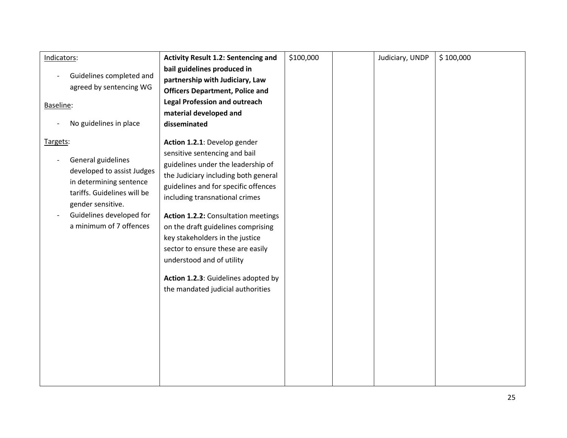| Indicators:                                                                                                                                                                                        | <b>Activity Result 1.2: Sentencing and</b>                                                                                                                                                                                                                                                                                                                                                                                                                                          | \$100,000 | Judiciary, UNDP | \$100,000 |
|----------------------------------------------------------------------------------------------------------------------------------------------------------------------------------------------------|-------------------------------------------------------------------------------------------------------------------------------------------------------------------------------------------------------------------------------------------------------------------------------------------------------------------------------------------------------------------------------------------------------------------------------------------------------------------------------------|-----------|-----------------|-----------|
|                                                                                                                                                                                                    | bail guidelines produced in                                                                                                                                                                                                                                                                                                                                                                                                                                                         |           |                 |           |
| Guidelines completed and                                                                                                                                                                           | partnership with Judiciary, Law                                                                                                                                                                                                                                                                                                                                                                                                                                                     |           |                 |           |
| agreed by sentencing WG                                                                                                                                                                            | <b>Officers Department, Police and</b>                                                                                                                                                                                                                                                                                                                                                                                                                                              |           |                 |           |
| Baseline:                                                                                                                                                                                          | <b>Legal Profession and outreach</b>                                                                                                                                                                                                                                                                                                                                                                                                                                                |           |                 |           |
|                                                                                                                                                                                                    | material developed and                                                                                                                                                                                                                                                                                                                                                                                                                                                              |           |                 |           |
| No guidelines in place                                                                                                                                                                             | disseminated                                                                                                                                                                                                                                                                                                                                                                                                                                                                        |           |                 |           |
| Targets:<br>General guidelines<br>developed to assist Judges<br>in determining sentence<br>tariffs. Guidelines will be<br>gender sensitive.<br>Guidelines developed for<br>a minimum of 7 offences | Action 1.2.1: Develop gender<br>sensitive sentencing and bail<br>guidelines under the leadership of<br>the Judiciary including both general<br>guidelines and for specific offences<br>including transnational crimes<br>Action 1.2.2: Consultation meetings<br>on the draft guidelines comprising<br>key stakeholders in the justice<br>sector to ensure these are easily<br>understood and of utility<br>Action 1.2.3: Guidelines adopted by<br>the mandated judicial authorities |           |                 |           |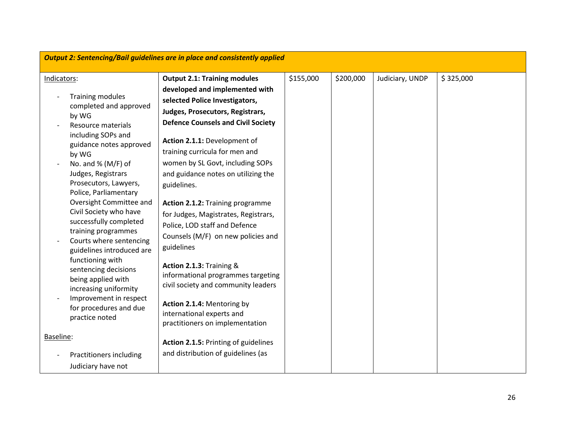|                                                                                                                                                                                                                                                                                                                                                                                                                                                                                                                                                                                          | <b>Output 2: Sentencing/Bail guidelines are in place and consistently applied</b>                                                                                                                                                                                                                                                                                                                                                                                                                                                                                                                                                                                                                                            |           |           |                 |           |  |  |  |  |
|------------------------------------------------------------------------------------------------------------------------------------------------------------------------------------------------------------------------------------------------------------------------------------------------------------------------------------------------------------------------------------------------------------------------------------------------------------------------------------------------------------------------------------------------------------------------------------------|------------------------------------------------------------------------------------------------------------------------------------------------------------------------------------------------------------------------------------------------------------------------------------------------------------------------------------------------------------------------------------------------------------------------------------------------------------------------------------------------------------------------------------------------------------------------------------------------------------------------------------------------------------------------------------------------------------------------------|-----------|-----------|-----------------|-----------|--|--|--|--|
| Indicators:<br><b>Training modules</b><br>completed and approved<br>by WG<br>Resource materials<br>including SOPs and<br>guidance notes approved<br>by WG<br>No. and $%$ (M/F) of<br>Judges, Registrars<br>Prosecutors, Lawyers,<br>Police, Parliamentary<br>Oversight Committee and<br>Civil Society who have<br>successfully completed<br>training programmes<br>Courts where sentencing<br>guidelines introduced are<br>functioning with<br>sentencing decisions<br>being applied with<br>increasing uniformity<br>Improvement in respect<br>for procedures and due<br>practice noted | <b>Output 2.1: Training modules</b><br>developed and implemented with<br>selected Police Investigators,<br>Judges, Prosecutors, Registrars,<br><b>Defence Counsels and Civil Society</b><br>Action 2.1.1: Development of<br>training curricula for men and<br>women by SL Govt, including SOPs<br>and guidance notes on utilizing the<br>guidelines.<br>Action 2.1.2: Training programme<br>for Judges, Magistrates, Registrars,<br>Police, LOD staff and Defence<br>Counsels (M/F) on new policies and<br>guidelines<br>Action 2.1.3: Training &<br>informational programmes targeting<br>civil society and community leaders<br>Action 2.1.4: Mentoring by<br>international experts and<br>practitioners on implementation | \$155,000 | \$200,000 | Judiciary, UNDP | \$325,000 |  |  |  |  |
| Baseline:<br>Practitioners including<br>Judiciary have not                                                                                                                                                                                                                                                                                                                                                                                                                                                                                                                               | Action 2.1.5: Printing of guidelines<br>and distribution of guidelines (as                                                                                                                                                                                                                                                                                                                                                                                                                                                                                                                                                                                                                                                   |           |           |                 |           |  |  |  |  |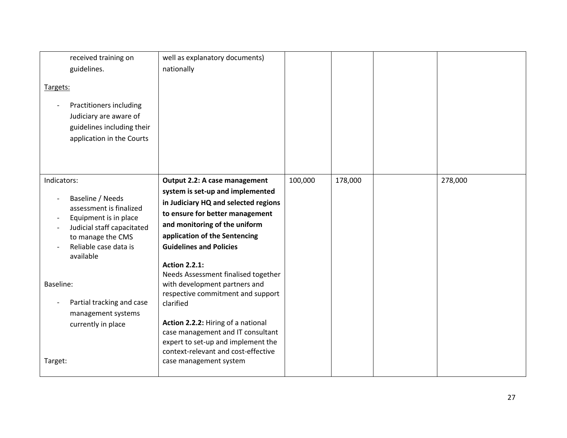| received training on<br>guidelines.<br>Targets:<br>Practitioners including<br>Judiciary are aware of<br>guidelines including their<br>application in the Courts                                                                                                               | well as explanatory documents)<br>nationally                                                                                                                                                                                                                                                                                                                                                                                                                                                                                                                                         |         |         |         |
|-------------------------------------------------------------------------------------------------------------------------------------------------------------------------------------------------------------------------------------------------------------------------------|--------------------------------------------------------------------------------------------------------------------------------------------------------------------------------------------------------------------------------------------------------------------------------------------------------------------------------------------------------------------------------------------------------------------------------------------------------------------------------------------------------------------------------------------------------------------------------------|---------|---------|---------|
| Indicators:<br>Baseline / Needs<br>assessment is finalized<br>Equipment is in place<br>Judicial staff capacitated<br>to manage the CMS<br>Reliable case data is<br>available<br>Baseline:<br>Partial tracking and case<br>management systems<br>currently in place<br>Target: | Output 2.2: A case management<br>system is set-up and implemented<br>in Judiciary HQ and selected regions<br>to ensure for better management<br>and monitoring of the uniform<br>application of the Sentencing<br><b>Guidelines and Policies</b><br><b>Action 2.2.1:</b><br>Needs Assessment finalised together<br>with development partners and<br>respective commitment and support<br>clarified<br>Action 2.2.2: Hiring of a national<br>case management and IT consultant<br>expert to set-up and implement the<br>context-relevant and cost-effective<br>case management system | 100,000 | 178,000 | 278,000 |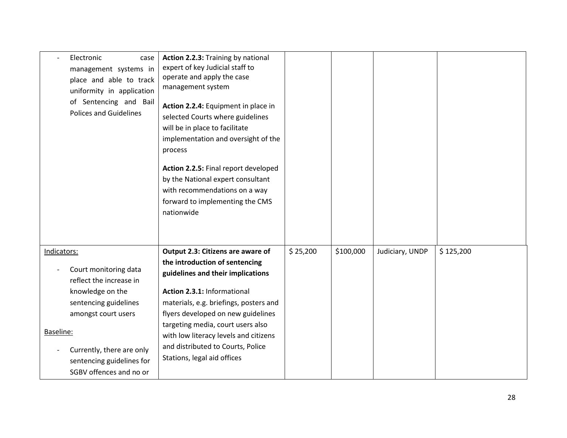| Electronic<br>case<br>management systems in<br>place and able to track<br>uniformity in application<br>of Sentencing and Bail<br><b>Polices and Guidelines</b>                                                         | Action 2.2.3: Training by national<br>expert of key Judicial staff to<br>operate and apply the case<br>management system<br>Action 2.2.4: Equipment in place in<br>selected Courts where guidelines<br>will be in place to facilitate<br>implementation and oversight of the<br>process<br>Action 2.2.5: Final report developed<br>by the National expert consultant<br>with recommendations on a way<br>forward to implementing the CMS<br>nationwide |          |           |                 |           |
|------------------------------------------------------------------------------------------------------------------------------------------------------------------------------------------------------------------------|--------------------------------------------------------------------------------------------------------------------------------------------------------------------------------------------------------------------------------------------------------------------------------------------------------------------------------------------------------------------------------------------------------------------------------------------------------|----------|-----------|-----------------|-----------|
| Indicators:                                                                                                                                                                                                            | Output 2.3: Citizens are aware of                                                                                                                                                                                                                                                                                                                                                                                                                      | \$25,200 | \$100,000 | Judiciary, UNDP | \$125,200 |
| Court monitoring data<br>reflect the increase in<br>knowledge on the<br>sentencing guidelines<br>amongst court users<br>Baseline:<br>Currently, there are only<br>sentencing guidelines for<br>SGBV offences and no or | the introduction of sentencing<br>guidelines and their implications<br>Action 2.3.1: Informational<br>materials, e.g. briefings, posters and<br>flyers developed on new guidelines<br>targeting media, court users also<br>with low literacy levels and citizens<br>and distributed to Courts, Police<br>Stations, legal aid offices                                                                                                                   |          |           |                 |           |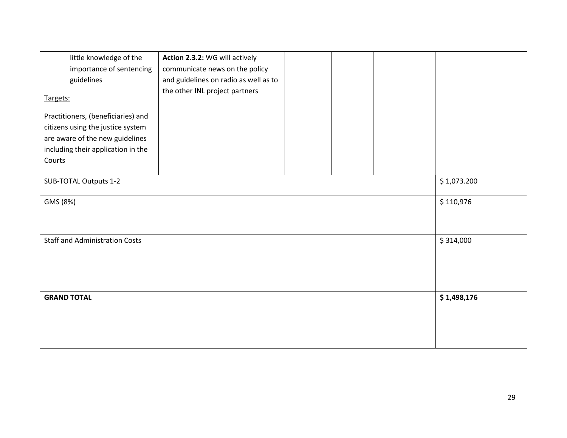| little knowledge of the<br>importance of sentencing<br>guidelines<br>Targets:                                                                              | Action 2.3.2: WG will actively<br>communicate news on the policy<br>and guidelines on radio as well as to<br>the other INL project partners |  |             |
|------------------------------------------------------------------------------------------------------------------------------------------------------------|---------------------------------------------------------------------------------------------------------------------------------------------|--|-------------|
| Practitioners, (beneficiaries) and<br>citizens using the justice system<br>are aware of the new guidelines<br>including their application in the<br>Courts |                                                                                                                                             |  |             |
| SUB-TOTAL Outputs 1-2                                                                                                                                      |                                                                                                                                             |  | \$1,073.200 |
| GMS (8%)                                                                                                                                                   |                                                                                                                                             |  | \$110,976   |
| <b>Staff and Administration Costs</b>                                                                                                                      |                                                                                                                                             |  | \$314,000   |
| <b>GRAND TOTAL</b>                                                                                                                                         |                                                                                                                                             |  | \$1,498,176 |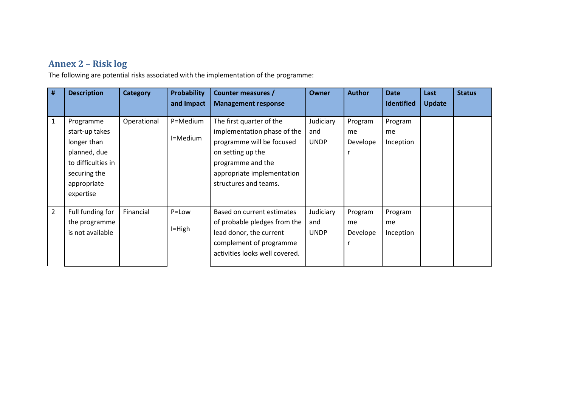# **Annex 2 – Risk log**

The following are potential risks associated with the implementation of the programme:

| #              | <b>Description</b>                                                                                                           | <b>Category</b> | <b>Probability</b><br>and Impact | Counter measures /<br><b>Management response</b>                                                                                                                                      | <b>Owner</b>                    | <b>Author</b>             | <b>Date</b><br><b>Identified</b> | Last<br><b>Update</b> | <b>Status</b> |
|----------------|------------------------------------------------------------------------------------------------------------------------------|-----------------|----------------------------------|---------------------------------------------------------------------------------------------------------------------------------------------------------------------------------------|---------------------------------|---------------------------|----------------------------------|-----------------------|---------------|
| 1              | Programme<br>start-up takes<br>longer than<br>planned, due<br>to difficulties in<br>securing the<br>appropriate<br>expertise | Operational     | P=Medium<br>I=Medium             | The first quarter of the<br>implementation phase of the<br>programme will be focused<br>on setting up the<br>programme and the<br>appropriate implementation<br>structures and teams. | Judiciary<br>and<br><b>UNDP</b> | Program<br>me<br>Develope | Program<br>me<br>Inception       |                       |               |
| $\overline{2}$ | Full funding for<br>the programme<br>is not available                                                                        | Financial       | P=Low<br>$I=High$                | Based on current estimates<br>of probable pledges from the<br>lead donor, the current<br>complement of programme<br>activities looks well covered.                                    | Judiciary<br>and<br><b>UNDP</b> | Program<br>me<br>Develope | Program<br>me<br>Inception       |                       |               |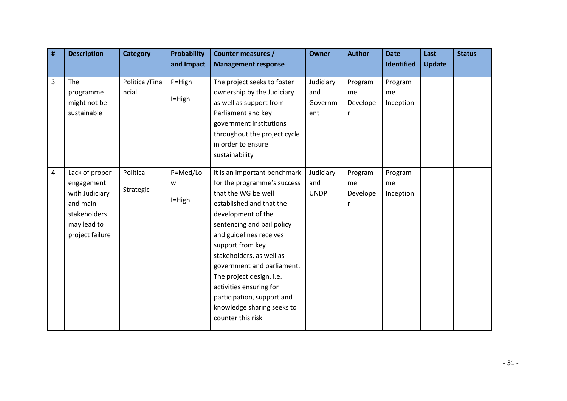| # | <b>Description</b>                                                                                           | <b>Category</b>         | <b>Probability</b><br>and Impact | <b>Counter measures /</b><br><b>Management response</b>                                                                                                                                                                                                                                                                                                                                                             | <b>Owner</b>                       | <b>Author</b>                  | <b>Date</b><br><b>Identified</b> | Last<br><b>Update</b> | <b>Status</b> |
|---|--------------------------------------------------------------------------------------------------------------|-------------------------|----------------------------------|---------------------------------------------------------------------------------------------------------------------------------------------------------------------------------------------------------------------------------------------------------------------------------------------------------------------------------------------------------------------------------------------------------------------|------------------------------------|--------------------------------|----------------------------------|-----------------------|---------------|
| 3 | <b>The</b><br>programme<br>might not be<br>sustainable                                                       | Political/Fina<br>ncial | $P=High$<br>I=High               | The project seeks to foster<br>ownership by the Judiciary<br>as well as support from<br>Parliament and key<br>government institutions<br>throughout the project cycle<br>in order to ensure<br>sustainability                                                                                                                                                                                                       | Judiciary<br>and<br>Governm<br>ent | Program<br>me<br>Develope<br>r | Program<br>me<br>Inception       |                       |               |
| 4 | Lack of proper<br>engagement<br>with Judiciary<br>and main<br>stakeholders<br>may lead to<br>project failure | Political<br>Strategic  | P=Med/Lo<br>W<br>$I=High$        | It is an important benchmark<br>for the programme's success<br>that the WG be well<br>established and that the<br>development of the<br>sentencing and bail policy<br>and guidelines receives<br>support from key<br>stakeholders, as well as<br>government and parliament.<br>The project design, i.e.<br>activities ensuring for<br>participation, support and<br>knowledge sharing seeks to<br>counter this risk | Judiciary<br>and<br><b>UNDP</b>    | Program<br>me<br>Develope<br>r | Program<br>me<br>Inception       |                       |               |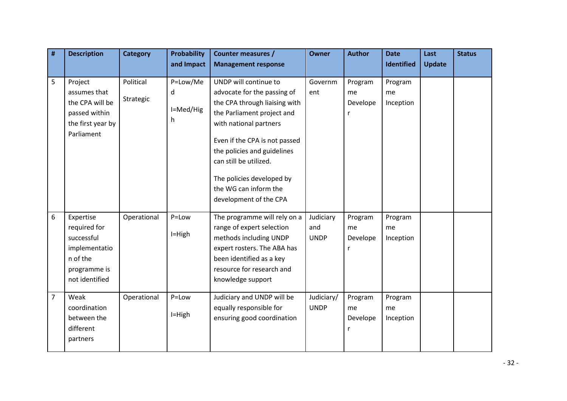| #              | <b>Description</b>                                                                                     | <b>Category</b>        | <b>Probability</b>              | <b>Counter measures /</b>                                                                                                                                                                                                                                                                                               | <b>Owner</b>                    | <b>Author</b>             | <b>Date</b>                | Last          | <b>Status</b> |
|----------------|--------------------------------------------------------------------------------------------------------|------------------------|---------------------------------|-------------------------------------------------------------------------------------------------------------------------------------------------------------------------------------------------------------------------------------------------------------------------------------------------------------------------|---------------------------------|---------------------------|----------------------------|---------------|---------------|
|                |                                                                                                        |                        | and Impact                      | <b>Management response</b>                                                                                                                                                                                                                                                                                              |                                 |                           | <b>Identified</b>          | <b>Update</b> |               |
| 5              | Project<br>assumes that<br>the CPA will be<br>passed within<br>the first year by<br>Parliament         | Political<br>Strategic | P=Low/Me<br>d<br>I=Med/Hig<br>h | UNDP will continue to<br>advocate for the passing of<br>the CPA through liaising with<br>the Parliament project and<br>with national partners<br>Even if the CPA is not passed<br>the policies and guidelines<br>can still be utilized.<br>The policies developed by<br>the WG can inform the<br>development of the CPA | Governm<br>ent                  | Program<br>me<br>Develope | Program<br>me<br>Inception |               |               |
| 6              | Expertise<br>required for<br>successful<br>implementatio<br>n of the<br>programme is<br>not identified | Operational            | P=Low<br>$I=High$               | The programme will rely on a<br>range of expert selection<br>methods including UNDP<br>expert rosters. The ABA has<br>been identified as a key<br>resource for research and<br>knowledge support                                                                                                                        | Judiciary<br>and<br><b>UNDP</b> | Program<br>me<br>Develope | Program<br>me<br>Inception |               |               |
| $\overline{7}$ | Weak<br>coordination<br>between the<br>different<br>partners                                           | Operational            | P=Low<br>$I=High$               | Judiciary and UNDP will be<br>equally responsible for<br>ensuring good coordination                                                                                                                                                                                                                                     | Judiciary/<br><b>UNDP</b>       | Program<br>me<br>Develope | Program<br>me<br>Inception |               |               |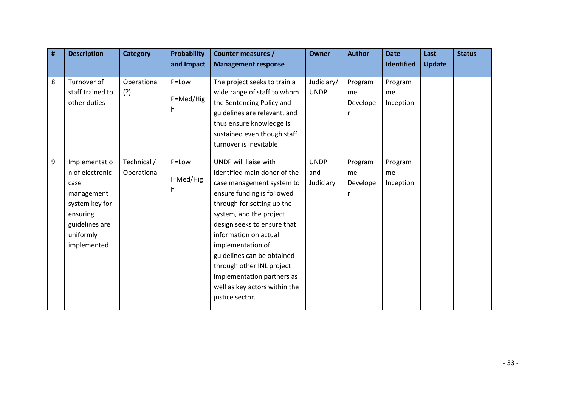| # | <b>Description</b>                                                                                                                 | <b>Category</b>            | <b>Probability</b>       | Counter measures /                                                                                                                                                                                                                                                                                                                                                                                  | <b>Owner</b>                    | <b>Author</b>             | <b>Date</b>                | Last          | <b>Status</b> |
|---|------------------------------------------------------------------------------------------------------------------------------------|----------------------------|--------------------------|-----------------------------------------------------------------------------------------------------------------------------------------------------------------------------------------------------------------------------------------------------------------------------------------------------------------------------------------------------------------------------------------------------|---------------------------------|---------------------------|----------------------------|---------------|---------------|
|   |                                                                                                                                    |                            | and Impact               | <b>Management response</b>                                                                                                                                                                                                                                                                                                                                                                          |                                 |                           | Identified                 | <b>Update</b> |               |
| 8 | Turnover of<br>staff trained to<br>other duties                                                                                    | Operational<br>(?)         | P=Low<br>P=Med/Hig<br>h. | The project seeks to train a<br>wide range of staff to whom<br>the Sentencing Policy and<br>guidelines are relevant, and<br>thus ensure knowledge is<br>sustained even though staff<br>turnover is inevitable                                                                                                                                                                                       | Judiciary/<br><b>UNDP</b>       | Program<br>me<br>Develope | Program<br>me<br>Inception |               |               |
| 9 | Implementatio<br>n of electronic<br>case<br>management<br>system key for<br>ensuring<br>guidelines are<br>uniformly<br>implemented | Technical /<br>Operational | P=Low<br>I=Med/Hig<br>h. | UNDP will liaise with<br>identified main donor of the<br>case management system to<br>ensure funding is followed<br>through for setting up the<br>system, and the project<br>design seeks to ensure that<br>information on actual<br>implementation of<br>guidelines can be obtained<br>through other INL project<br>implementation partners as<br>well as key actors within the<br>justice sector. | <b>UNDP</b><br>and<br>Judiciary | Program<br>me<br>Develope | Program<br>me<br>Inception |               |               |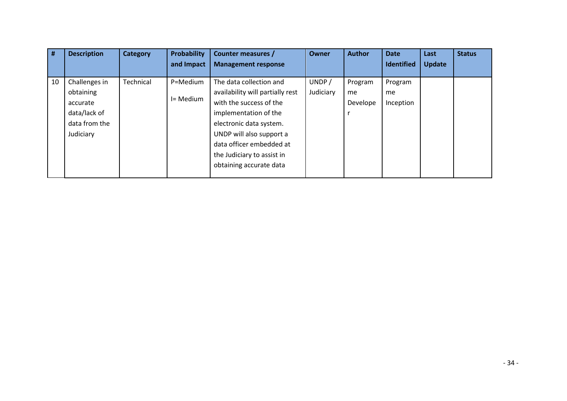| #  | <b>Description</b>                                                                   | Category         | Probability           | <b>Counter measures /</b>                                                                                                                                                                                                                                   | <b>Owner</b>       | <b>Author</b>             | <b>Date</b>                | Last          | <b>Status</b> |
|----|--------------------------------------------------------------------------------------|------------------|-----------------------|-------------------------------------------------------------------------------------------------------------------------------------------------------------------------------------------------------------------------------------------------------------|--------------------|---------------------------|----------------------------|---------------|---------------|
|    |                                                                                      |                  | and Impact            | <b>Management response</b>                                                                                                                                                                                                                                  |                    |                           | <b>Identified</b>          | <b>Update</b> |               |
| 10 | Challenges in<br>obtaining<br>accurate<br>data/lack of<br>data from the<br>Judiciary | <b>Technical</b> | P=Medium<br>I= Medium | The data collection and<br>availability will partially rest<br>with the success of the<br>implementation of the<br>electronic data system.<br>UNDP will also support a<br>data officer embedded at<br>the Judiciary to assist in<br>obtaining accurate data | UNDP/<br>Judiciary | Program<br>me<br>Develope | Program<br>me<br>Inception |               |               |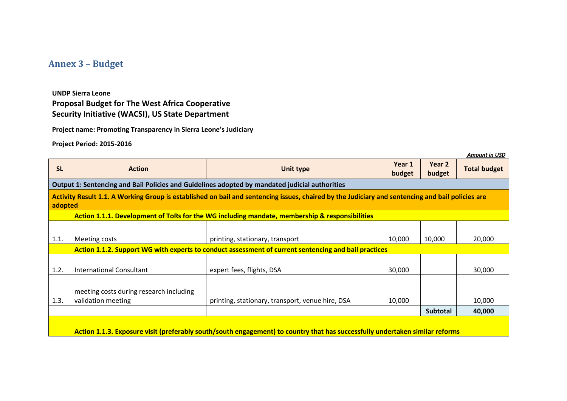# **Annex 3 – Budget**

**UNDP Sierra Leone Proposal Budget for The West Africa Cooperative Security Initiative (WACSI), US State Department** 

**Project name: Promoting Transparency in Sierra Leone's Judiciary** 

**Project Period: 2015-2016**

|           |                                                                                                                                                  |                                                                                                                              |                  |                  | <b>Amount in USD</b> |  |  |  |  |  |  |  |  |  |  |
|-----------|--------------------------------------------------------------------------------------------------------------------------------------------------|------------------------------------------------------------------------------------------------------------------------------|------------------|------------------|----------------------|--|--|--|--|--|--|--|--|--|--|
| <b>SL</b> | <b>Action</b>                                                                                                                                    | <b>Unit type</b>                                                                                                             | Year 1<br>budget | Year 2<br>budget | <b>Total budget</b>  |  |  |  |  |  |  |  |  |  |  |
|           | Output 1: Sentencing and Bail Policies and Guidelines adopted by mandated judicial authorities                                                   |                                                                                                                              |                  |                  |                      |  |  |  |  |  |  |  |  |  |  |
| adopted   | Activity Result 1.1. A Working Group is established on bail and sentencing issues, chaired by the Judiciary and sentencing and bail policies are |                                                                                                                              |                  |                  |                      |  |  |  |  |  |  |  |  |  |  |
|           | Action 1.1.1. Development of ToRs for the WG including mandate, membership & responsibilities                                                    |                                                                                                                              |                  |                  |                      |  |  |  |  |  |  |  |  |  |  |
|           |                                                                                                                                                  |                                                                                                                              |                  |                  |                      |  |  |  |  |  |  |  |  |  |  |
| 1.1.      | Meeting costs                                                                                                                                    | printing, stationary, transport                                                                                              | 10,000           | 10,000           | 20,000               |  |  |  |  |  |  |  |  |  |  |
|           |                                                                                                                                                  | Action 1.1.2. Support WG with experts to conduct assessment of current sentencing and bail practices                         |                  |                  |                      |  |  |  |  |  |  |  |  |  |  |
|           |                                                                                                                                                  |                                                                                                                              |                  |                  |                      |  |  |  |  |  |  |  |  |  |  |
| 1.2.      | International Consultant                                                                                                                         | expert fees, flights, DSA                                                                                                    | 30,000           |                  | 30,000               |  |  |  |  |  |  |  |  |  |  |
| 1.3.      | meeting costs during research including<br>validation meeting                                                                                    | printing, stationary, transport, venue hire, DSA                                                                             | 10,000           |                  | 10,000               |  |  |  |  |  |  |  |  |  |  |
|           |                                                                                                                                                  |                                                                                                                              |                  | <b>Subtotal</b>  | 40,000               |  |  |  |  |  |  |  |  |  |  |
|           |                                                                                                                                                  |                                                                                                                              |                  |                  |                      |  |  |  |  |  |  |  |  |  |  |
|           |                                                                                                                                                  | Action 1.1.3. Exposure visit (preferably south/south engagement) to country that has successfully undertaken similar reforms |                  |                  |                      |  |  |  |  |  |  |  |  |  |  |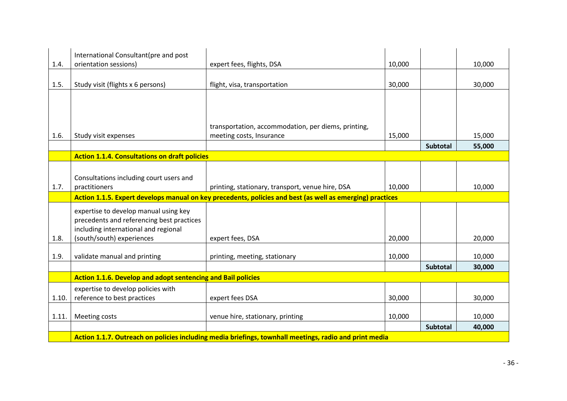|       | International Consultant(pre and post<br>orientation sessions)      |                                                                                                           |        |                 | 10,000 |
|-------|---------------------------------------------------------------------|-----------------------------------------------------------------------------------------------------------|--------|-----------------|--------|
| 1.4.  |                                                                     | expert fees, flights, DSA                                                                                 | 10,000 |                 |        |
| 1.5.  | Study visit (flights x 6 persons)                                   | flight, visa, transportation                                                                              | 30,000 |                 | 30,000 |
|       |                                                                     |                                                                                                           |        |                 |        |
|       |                                                                     |                                                                                                           |        |                 |        |
|       |                                                                     |                                                                                                           |        |                 |        |
|       |                                                                     | transportation, accommodation, per diems, printing,                                                       |        |                 |        |
| 1.6.  | Study visit expenses                                                | meeting costs, Insurance                                                                                  | 15,000 |                 | 15,000 |
|       |                                                                     |                                                                                                           |        | <b>Subtotal</b> | 55,000 |
|       | <b>Action 1.1.4. Consultations on draft policies</b>                |                                                                                                           |        |                 |        |
|       |                                                                     |                                                                                                           |        |                 |        |
|       | Consultations including court users and                             |                                                                                                           |        |                 |        |
| 1.7.  | practitioners                                                       | printing, stationary, transport, venue hire, DSA                                                          | 10,000 |                 | 10,000 |
|       |                                                                     | Action 1.1.5. Expert develops manual on key precedents, policies and best (as well as emerging) practices |        |                 |        |
|       |                                                                     |                                                                                                           |        |                 |        |
|       | expertise to develop manual using key                               |                                                                                                           |        |                 |        |
|       | precedents and referencing best practices                           |                                                                                                           |        |                 |        |
|       | including international and regional                                |                                                                                                           |        |                 |        |
| 1.8.  | (south/south) experiences                                           | expert fees, DSA                                                                                          | 20,000 |                 | 20,000 |
| 1.9.  |                                                                     |                                                                                                           |        |                 |        |
|       | validate manual and printing                                        | printing, meeting, stationary                                                                             | 10,000 |                 | 10,000 |
|       |                                                                     |                                                                                                           |        | <b>Subtotal</b> | 30,000 |
|       | <b>Action 1.1.6. Develop and adopt sentencing and Bail policies</b> |                                                                                                           |        |                 |        |
|       | expertise to develop policies with                                  |                                                                                                           |        |                 |        |
| 1.10. | reference to best practices                                         | expert fees DSA                                                                                           | 30,000 |                 | 30,000 |
|       |                                                                     |                                                                                                           |        |                 |        |
| 1.11. | Meeting costs                                                       | venue hire, stationary, printing                                                                          | 10,000 |                 | 10,000 |
|       |                                                                     |                                                                                                           |        | <b>Subtotal</b> | 40,000 |
|       |                                                                     | Action 1.1.7. Outreach on policies including media briefings, townhall meetings, radio and print media    |        |                 |        |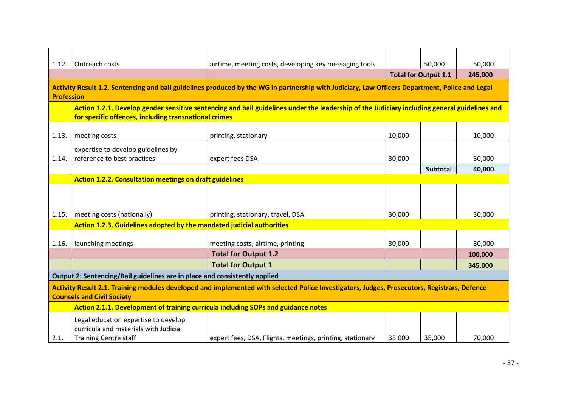| 1.12.             | Outreach costs                                                                                                                                                                                        | airtime, meeting costs, developing key messaging tools                                                                                          |        | 50,000                      | 50,000  |  |  |  |  |  |  |  |  |  |
|-------------------|-------------------------------------------------------------------------------------------------------------------------------------------------------------------------------------------------------|-------------------------------------------------------------------------------------------------------------------------------------------------|--------|-----------------------------|---------|--|--|--|--|--|--|--|--|--|
|                   |                                                                                                                                                                                                       |                                                                                                                                                 |        | <b>Total for Output 1.1</b> | 245,000 |  |  |  |  |  |  |  |  |  |
| <b>Profession</b> |                                                                                                                                                                                                       | Activity Result 1.2. Sentencing and bail guidelines produced by the WG in partnership with Judiciary, Law Officers Department, Police and Legal |        |                             |         |  |  |  |  |  |  |  |  |  |
|                   | Action 1.2.1. Develop gender sensitive sentencing and bail guidelines under the leadership of the Judiciary including general guidelines and<br>for specific offences, including transnational crimes |                                                                                                                                                 |        |                             |         |  |  |  |  |  |  |  |  |  |
| 1.13.             | meeting costs                                                                                                                                                                                         | printing, stationary                                                                                                                            | 10,000 |                             | 10,000  |  |  |  |  |  |  |  |  |  |
| 1.14.             | expertise to develop guidelines by<br>reference to best practices                                                                                                                                     | expert fees DSA                                                                                                                                 | 30,000 |                             | 30,000  |  |  |  |  |  |  |  |  |  |
|                   |                                                                                                                                                                                                       |                                                                                                                                                 |        | <b>Subtotal</b>             | 40,000  |  |  |  |  |  |  |  |  |  |
|                   | <b>Action 1.2.2. Consultation meetings on draft guidelines</b>                                                                                                                                        |                                                                                                                                                 |        |                             |         |  |  |  |  |  |  |  |  |  |
|                   |                                                                                                                                                                                                       |                                                                                                                                                 |        |                             |         |  |  |  |  |  |  |  |  |  |
| 1.15.             | meeting costs (nationally)                                                                                                                                                                            | printing, stationary, travel, DSA                                                                                                               | 30,000 |                             | 30,000  |  |  |  |  |  |  |  |  |  |
|                   | Action 1.2.3. Guidelines adopted by the mandated judicial authorities                                                                                                                                 |                                                                                                                                                 |        |                             |         |  |  |  |  |  |  |  |  |  |
| 1.16.             | launching meetings                                                                                                                                                                                    | meeting costs, airtime, printing                                                                                                                | 30,000 |                             | 30,000  |  |  |  |  |  |  |  |  |  |
|                   |                                                                                                                                                                                                       | <b>Total for Output 1.2</b>                                                                                                                     |        |                             | 100,000 |  |  |  |  |  |  |  |  |  |
|                   |                                                                                                                                                                                                       | <b>Total for Output 1</b>                                                                                                                       |        |                             | 345,000 |  |  |  |  |  |  |  |  |  |
|                   | Output 2: Sentencing/Bail guidelines are in place and consistently applied                                                                                                                            |                                                                                                                                                 |        |                             |         |  |  |  |  |  |  |  |  |  |
|                   | <b>Counsels and Civil Society</b>                                                                                                                                                                     | Activity Result 2.1. Training modules developed and implemented with selected Police Investigators, Judges, Prosecutors, Registrars, Defence    |        |                             |         |  |  |  |  |  |  |  |  |  |
|                   | Action 2.1.1. Development of training curricula including SOPs and guidance notes                                                                                                                     |                                                                                                                                                 |        |                             |         |  |  |  |  |  |  |  |  |  |
| 2.1.              | Legal education expertise to develop<br>curricula and materials with Judicial<br><b>Training Centre staff</b>                                                                                         | expert fees, DSA, Flights, meetings, printing, stationary                                                                                       | 35,000 | 35,000                      | 70,000  |  |  |  |  |  |  |  |  |  |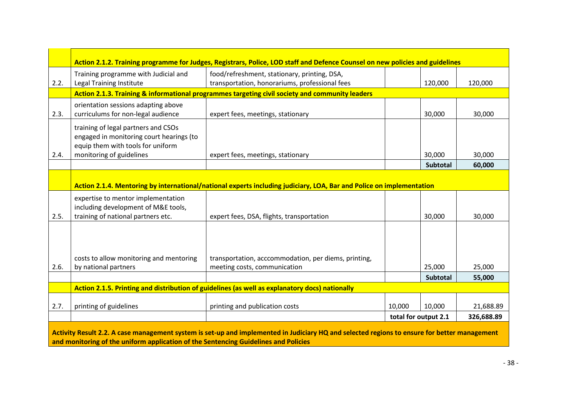|      |                                                                                                                      | Action 2.1.2. Training programme for Judges, Registrars, Police, LOD staff and Defence Counsel on new policies and guidelines                |        |                      |            |
|------|----------------------------------------------------------------------------------------------------------------------|----------------------------------------------------------------------------------------------------------------------------------------------|--------|----------------------|------------|
| 2.2. | Training programme with Judicial and<br>Legal Training Institute                                                     | food/refreshment, stationary, printing, DSA,<br>transportation, honorariums, professional fees                                               |        | 120,000              | 120,000    |
|      |                                                                                                                      | Action 2.1.3. Training & informational programmes targeting civil society and community leaders                                              |        |                      |            |
| 2.3. | orientation sessions adapting above<br>curriculums for non-legal audience                                            | expert fees, meetings, stationary                                                                                                            |        | 30,000               | 30,000     |
|      | training of legal partners and CSOs<br>engaged in monitoring court hearings (to<br>equip them with tools for uniform |                                                                                                                                              |        |                      |            |
| 2.4. | monitoring of guidelines                                                                                             | expert fees, meetings, stationary                                                                                                            |        | 30,000               | 30,000     |
|      |                                                                                                                      |                                                                                                                                              |        | Subtotal             | 60,000     |
|      |                                                                                                                      | Action 2.1.4. Mentoring by international/national experts including judiciary, LOA, Bar and Police on implementation                         |        |                      |            |
| 2.5. | expertise to mentor implementation<br>including development of M&E tools,<br>training of national partners etc.      | expert fees, DSA, flights, transportation                                                                                                    |        | 30,000               | 30,000     |
|      |                                                                                                                      |                                                                                                                                              |        |                      |            |
| 2.6. | costs to allow monitoring and mentoring<br>by national partners                                                      | transportation, acccommodation, per diems, printing,<br>meeting costs, communication                                                         |        | 25,000               | 25,000     |
|      |                                                                                                                      |                                                                                                                                              |        | <b>Subtotal</b>      | 55,000     |
|      |                                                                                                                      | Action 2.1.5. Printing and distribution of guidelines (as well as explanatory docs) nationally                                               |        |                      |            |
|      |                                                                                                                      |                                                                                                                                              |        |                      |            |
| 2.7. | printing of guidelines                                                                                               | printing and publication costs                                                                                                               | 10,000 | 10,000               | 21,688.89  |
|      |                                                                                                                      |                                                                                                                                              |        | total for output 2.1 | 326,688.89 |
|      | and monitoring of the uniform application of the Sentencing Guidelines and Policies                                  | Activity Result 2.2. A case management system is set-up and implemented in Judiciary HQ and selected regions to ensure for better management |        |                      |            |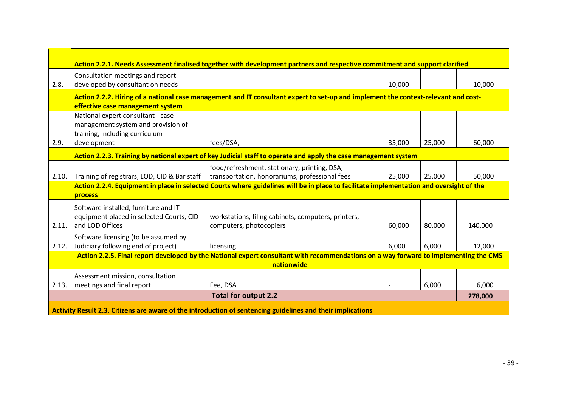|       |                                                                                                           | Action 2.2.1. Needs Assessment finalised together with development partners and respective commitment and support clarified             |        |        |         |
|-------|-----------------------------------------------------------------------------------------------------------|-----------------------------------------------------------------------------------------------------------------------------------------|--------|--------|---------|
| 2.8.  | Consultation meetings and report<br>developed by consultant on needs                                      |                                                                                                                                         | 10,000 |        | 10,000  |
|       | effective case management system                                                                          | Action 2.2.2. Hiring of a national case management and IT consultant expert to set-up and implement the context-relevant and cost-      |        |        |         |
|       | National expert consultant - case<br>management system and provision of<br>training, including curriculum |                                                                                                                                         |        |        |         |
| 2.9.  | development                                                                                               | fees/DSA,                                                                                                                               | 35,000 | 25,000 | 60,000  |
|       |                                                                                                           | Action 2.2.3. Training by national expert of key Judicial staff to operate and apply the case management system                         |        |        |         |
| 2.10. | Training of registrars, LOD, CID & Bar staff                                                              | food/refreshment, stationary, printing, DSA,<br>transportation, honorariums, professional fees                                          | 25,000 | 25,000 | 50,000  |
|       | process                                                                                                   | Action 2.2.4. Equipment in place in selected Courts where guidelines will be in place to facilitate implementation and oversight of the |        |        |         |
|       | Software installed, furniture and IT<br>equipment placed in selected Courts, CID                          |                                                                                                                                         |        |        |         |
| 2.11. | and LOD Offices                                                                                           | workstations, filing cabinets, computers, printers,<br>computers, photocopiers                                                          | 60,000 | 80,000 | 140,000 |
| 2.12. | Software licensing (to be assumed by<br>Judiciary following end of project)                               | licensing                                                                                                                               | 6,000  | 6,000  | 12,000  |
|       |                                                                                                           | Action 2.2.5. Final report developed by the National expert consultant with recommendations on a way forward to implementing the CMS    |        |        |         |
|       |                                                                                                           | nationwide                                                                                                                              |        |        |         |
| 2.13. | Assessment mission, consultation<br>meetings and final report                                             | Fee, DSA                                                                                                                                |        | 6,000  | 6,000   |
|       |                                                                                                           | <b>Total for output 2.2</b>                                                                                                             |        |        | 278,000 |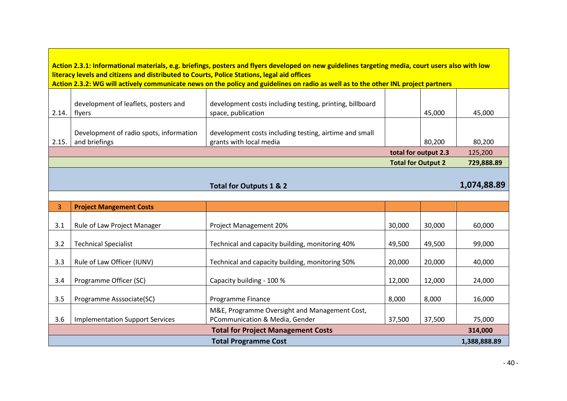**Action 2.3.1: Informational materials, e.g. briefings, posters and flyers developed on new guidelines targeting media, court users also with low literacy levels and citizens and distributed to Courts, Police Stations, legal aid offices**

**Action 2.3.2: WG will actively communicate news on the policy and guidelines on radio as well as to the other INL project partners<br>
The contract of the other INL project partners** 

| 2.14. | development of leaflets, posters and<br>flyers           | development costs including testing, printing, billboard<br>space, publication    |                           | 45,000 | 45,000     |
|-------|----------------------------------------------------------|-----------------------------------------------------------------------------------|---------------------------|--------|------------|
| 2.15. | Development of radio spots, information<br>and briefings | development costs including testing, airtime and small<br>grants with local media |                           | 80,200 | 80.200     |
|       |                                                          |                                                                                   | total for output 2.3      |        | 125,200    |
|       |                                                          |                                                                                   | <b>Total for Output 2</b> |        | 729,888.89 |

#### **Total for Outputs 1 & 2 1,074,88.89**

| 3                                                    | <b>Project Mangement Costs</b>         |                                                 |        |        |        |  |  |  |  |  |  |  |
|------------------------------------------------------|----------------------------------------|-------------------------------------------------|--------|--------|--------|--|--|--|--|--|--|--|
|                                                      |                                        |                                                 |        |        |        |  |  |  |  |  |  |  |
| 3.1                                                  | Rule of Law Project Manager            | Project Management 20%                          | 30,000 | 30,000 | 60,000 |  |  |  |  |  |  |  |
|                                                      |                                        |                                                 |        |        |        |  |  |  |  |  |  |  |
| 3.2                                                  | <b>Technical Specialist</b>            | Technical and capacity building, monitoring 40% | 49,500 | 49,500 | 99,000 |  |  |  |  |  |  |  |
|                                                      |                                        |                                                 |        |        |        |  |  |  |  |  |  |  |
| 3.3                                                  | Rule of Law Officer (IUNV)             | Technical and capacity building, monitoring 50% | 20,000 | 20,000 | 40,000 |  |  |  |  |  |  |  |
|                                                      |                                        |                                                 |        |        |        |  |  |  |  |  |  |  |
| 3.4                                                  | Programme Officer (SC)                 | Capacity building - 100 %                       | 12,000 | 12,000 | 24,000 |  |  |  |  |  |  |  |
|                                                      |                                        |                                                 |        |        |        |  |  |  |  |  |  |  |
| 3.5                                                  | Programme Asssociate(SC)               | Programme Finance                               | 8,000  | 8,000  | 16,000 |  |  |  |  |  |  |  |
|                                                      |                                        | M&E, Programme Oversight and Management Cost,   |        |        |        |  |  |  |  |  |  |  |
| 3.6                                                  | <b>Implementation Support Services</b> | PCommunication & Media, Gender                  | 37,500 | 37,500 | 75,000 |  |  |  |  |  |  |  |
| <b>Total for Project Management Costs</b><br>314,000 |                                        |                                                 |        |        |        |  |  |  |  |  |  |  |
| <b>Total Programme Cost</b><br>1,388,888.89          |                                        |                                                 |        |        |        |  |  |  |  |  |  |  |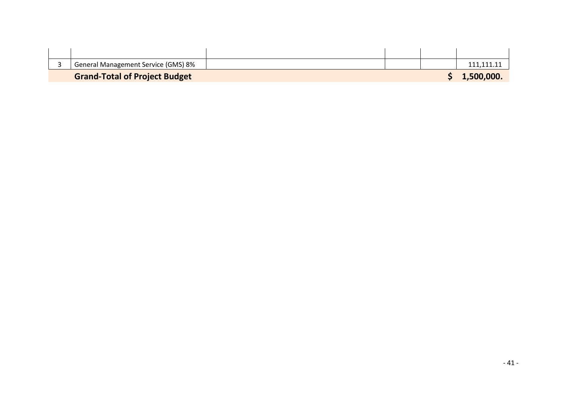| General Management Service (GMS) 8%  |  |            |
|--------------------------------------|--|------------|
| <b>Grand-Total of Project Budget</b> |  | 1,500,000. |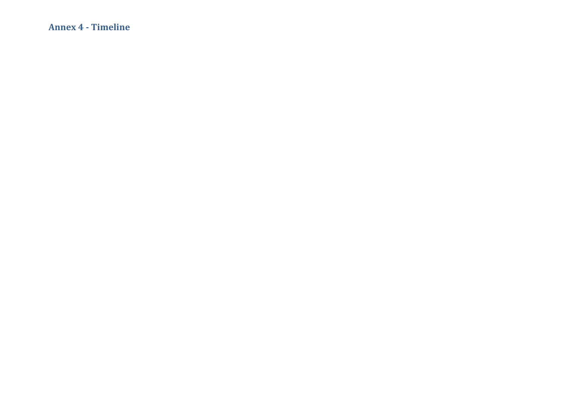**Annex 4 - Timeline**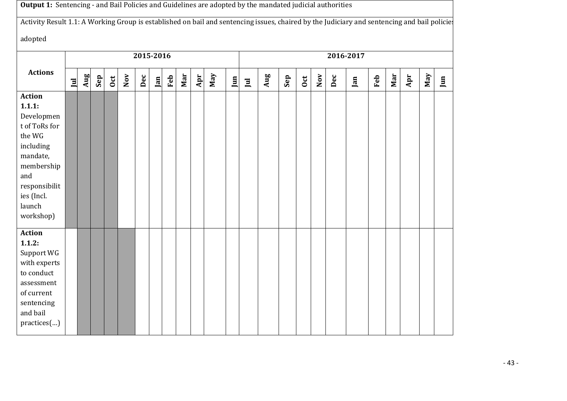|                                                                                                                                                                      | Output 1: Sentencing - and Bail Policies and Guidelines are adopted by the mandated judicial authorities<br>Activity Result 1.1: A Working Group is established on bail and sentencing issues, chaired by the Judiciary and sentencing and bail policies |     |     |                 |     |           |     |     |     |     |     |     |              |     |     |              |     |     |           |     |     |     |                |     |
|----------------------------------------------------------------------------------------------------------------------------------------------------------------------|----------------------------------------------------------------------------------------------------------------------------------------------------------------------------------------------------------------------------------------------------------|-----|-----|-----------------|-----|-----------|-----|-----|-----|-----|-----|-----|--------------|-----|-----|--------------|-----|-----|-----------|-----|-----|-----|----------------|-----|
|                                                                                                                                                                      |                                                                                                                                                                                                                                                          |     |     |                 |     |           |     |     |     |     |     |     |              |     |     |              |     |     |           |     |     |     |                |     |
| adopted                                                                                                                                                              |                                                                                                                                                                                                                                                          |     |     |                 |     |           |     |     |     |     |     |     |              |     |     |              |     |     |           |     |     |     |                |     |
|                                                                                                                                                                      |                                                                                                                                                                                                                                                          |     |     |                 |     | 2015-2016 |     |     |     |     |     |     |              |     |     |              |     |     | 2016-2017 |     |     |     |                |     |
| <b>Actions</b>                                                                                                                                                       | $\mathbf{I}$                                                                                                                                                                                                                                             | Aug | Sep | $_{\text{oct}}$ | Nov | Dec       | Jan | Feb | Mar | Apr | Nay | Jun | $\mathbf{I}$ | Aug | Sep | $_{\rm Oct}$ | Nov | Dec | Jan       | Feb | Mar | Apr | $\mathbf{May}$ | Jun |
| <b>Action</b><br>1.1.1:<br>Developmen<br>t of ToRs for<br>the WG<br>including<br>mandate,<br>membership<br>and<br>responsibilit<br>ies (Incl.<br>launch<br>workshop) |                                                                                                                                                                                                                                                          |     |     |                 |     |           |     |     |     |     |     |     |              |     |     |              |     |     |           |     |     |     |                |     |
| <b>Action</b><br>1.1.2:<br>Support WG<br>with experts<br>to conduct<br>assessment<br>of current<br>sentencing<br>and bail<br>practices()                             |                                                                                                                                                                                                                                                          |     |     |                 |     |           |     |     |     |     |     |     |              |     |     |              |     |     |           |     |     |     |                |     |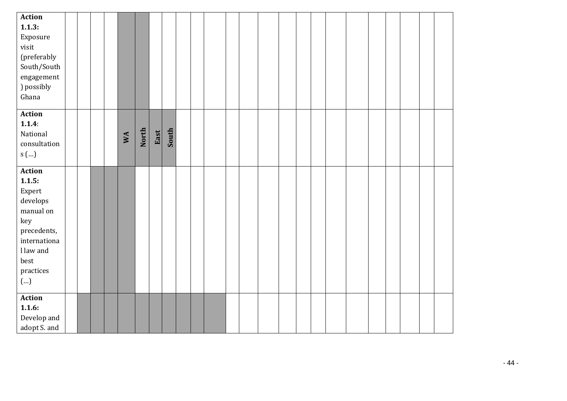| <b>Action</b>             |  |  |    |       |      |       |  |  |  |  |  |  |  |  |
|---------------------------|--|--|----|-------|------|-------|--|--|--|--|--|--|--|--|
| 1.1.3:                    |  |  |    |       |      |       |  |  |  |  |  |  |  |  |
| Exposure                  |  |  |    |       |      |       |  |  |  |  |  |  |  |  |
| visit                     |  |  |    |       |      |       |  |  |  |  |  |  |  |  |
| (preferably               |  |  |    |       |      |       |  |  |  |  |  |  |  |  |
| South/South               |  |  |    |       |      |       |  |  |  |  |  |  |  |  |
| engagement                |  |  |    |       |      |       |  |  |  |  |  |  |  |  |
| ) possibly                |  |  |    |       |      |       |  |  |  |  |  |  |  |  |
| Ghana                     |  |  |    |       |      |       |  |  |  |  |  |  |  |  |
|                           |  |  |    |       |      |       |  |  |  |  |  |  |  |  |
| Action                    |  |  |    |       |      |       |  |  |  |  |  |  |  |  |
| 1.1.4:                    |  |  |    |       |      |       |  |  |  |  |  |  |  |  |
| National                  |  |  | WA | North | East | South |  |  |  |  |  |  |  |  |
| consultation              |  |  |    |       |      |       |  |  |  |  |  |  |  |  |
| s $\left( \ldots \right)$ |  |  |    |       |      |       |  |  |  |  |  |  |  |  |
|                           |  |  |    |       |      |       |  |  |  |  |  |  |  |  |
| Action                    |  |  |    |       |      |       |  |  |  |  |  |  |  |  |
| 1.1.5:                    |  |  |    |       |      |       |  |  |  |  |  |  |  |  |
| Expert                    |  |  |    |       |      |       |  |  |  |  |  |  |  |  |
| $\,$ develops             |  |  |    |       |      |       |  |  |  |  |  |  |  |  |
| manual on                 |  |  |    |       |      |       |  |  |  |  |  |  |  |  |
| key                       |  |  |    |       |      |       |  |  |  |  |  |  |  |  |
| precedents,               |  |  |    |       |      |       |  |  |  |  |  |  |  |  |
| internationa              |  |  |    |       |      |       |  |  |  |  |  |  |  |  |
| I law and                 |  |  |    |       |      |       |  |  |  |  |  |  |  |  |
| best                      |  |  |    |       |      |       |  |  |  |  |  |  |  |  |
| $\,$ practices $\,$       |  |  |    |       |      |       |  |  |  |  |  |  |  |  |
| ()                        |  |  |    |       |      |       |  |  |  |  |  |  |  |  |
|                           |  |  |    |       |      |       |  |  |  |  |  |  |  |  |
| <b>Action</b>             |  |  |    |       |      |       |  |  |  |  |  |  |  |  |
| 1.1.6:                    |  |  |    |       |      |       |  |  |  |  |  |  |  |  |
| Develop and               |  |  |    |       |      |       |  |  |  |  |  |  |  |  |
| adopt S. and              |  |  |    |       |      |       |  |  |  |  |  |  |  |  |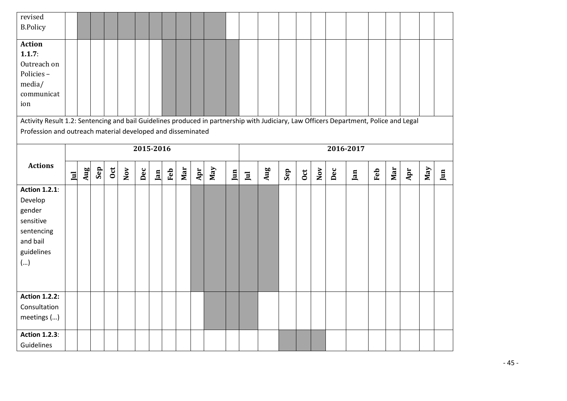| revised                                                                                                                               |              |     |     |            |                |           |     |     |     |     |     |     |                         |     |     |     |     |           |     |     |     |     |     |     |
|---------------------------------------------------------------------------------------------------------------------------------------|--------------|-----|-----|------------|----------------|-----------|-----|-----|-----|-----|-----|-----|-------------------------|-----|-----|-----|-----|-----------|-----|-----|-----|-----|-----|-----|
| <b>B.Policy</b>                                                                                                                       |              |     |     |            |                |           |     |     |     |     |     |     |                         |     |     |     |     |           |     |     |     |     |     |     |
| <b>Action</b><br>1.1.7:                                                                                                               |              |     |     |            |                |           |     |     |     |     |     |     |                         |     |     |     |     |           |     |     |     |     |     |     |
| Outreach on                                                                                                                           |              |     |     |            |                |           |     |     |     |     |     |     |                         |     |     |     |     |           |     |     |     |     |     |     |
| Policies-                                                                                                                             |              |     |     |            |                |           |     |     |     |     |     |     |                         |     |     |     |     |           |     |     |     |     |     |     |
| media/                                                                                                                                |              |     |     |            |                |           |     |     |     |     |     |     |                         |     |     |     |     |           |     |     |     |     |     |     |
| communicat                                                                                                                            |              |     |     |            |                |           |     |     |     |     |     |     |                         |     |     |     |     |           |     |     |     |     |     |     |
| ion                                                                                                                                   |              |     |     |            |                |           |     |     |     |     |     |     |                         |     |     |     |     |           |     |     |     |     |     |     |
|                                                                                                                                       |              |     |     |            |                |           |     |     |     |     |     |     |                         |     |     |     |     |           |     |     |     |     |     |     |
| Activity Result 1.2: Sentencing and bail Guidelines produced in partnership with Judiciary, Law Officers Department, Police and Legal |              |     |     |            |                |           |     |     |     |     |     |     |                         |     |     |     |     |           |     |     |     |     |     |     |
| Profession and outreach material developed and disseminated                                                                           |              |     |     |            |                |           |     |     |     |     |     |     |                         |     |     |     |     |           |     |     |     |     |     |     |
|                                                                                                                                       |              |     |     |            |                | 2015-2016 |     |     |     |     |     |     |                         |     |     |     |     | 2016-2017 |     |     |     |     |     |     |
| <b>Actions</b>                                                                                                                        | <sub>u</sub> | Aug | Sep | <b>Oct</b> | $\mathbf{Nov}$ | Dec       | Jan | Feb | Mar | Apr | Nay | Jun | $\overline{\mathbf{u}}$ | Aug | Sep | 0ct | Nov | Dec       | Jan | Feb | Mar | Apr | Nay | Jun |
| <b>Action 1.2.1:</b>                                                                                                                  |              |     |     |            |                |           |     |     |     |     |     |     |                         |     |     |     |     |           |     |     |     |     |     |     |
| Develop                                                                                                                               |              |     |     |            |                |           |     |     |     |     |     |     |                         |     |     |     |     |           |     |     |     |     |     |     |
| gender                                                                                                                                |              |     |     |            |                |           |     |     |     |     |     |     |                         |     |     |     |     |           |     |     |     |     |     |     |
| sensitive                                                                                                                             |              |     |     |            |                |           |     |     |     |     |     |     |                         |     |     |     |     |           |     |     |     |     |     |     |
| sentencing                                                                                                                            |              |     |     |            |                |           |     |     |     |     |     |     |                         |     |     |     |     |           |     |     |     |     |     |     |
| and bail                                                                                                                              |              |     |     |            |                |           |     |     |     |     |     |     |                         |     |     |     |     |           |     |     |     |     |     |     |
| guidelines                                                                                                                            |              |     |     |            |                |           |     |     |     |     |     |     |                         |     |     |     |     |           |     |     |     |     |     |     |
| ()                                                                                                                                    |              |     |     |            |                |           |     |     |     |     |     |     |                         |     |     |     |     |           |     |     |     |     |     |     |
|                                                                                                                                       |              |     |     |            |                |           |     |     |     |     |     |     |                         |     |     |     |     |           |     |     |     |     |     |     |
| <b>Action 1.2.2:</b>                                                                                                                  |              |     |     |            |                |           |     |     |     |     |     |     |                         |     |     |     |     |           |     |     |     |     |     |     |
| Consultation                                                                                                                          |              |     |     |            |                |           |     |     |     |     |     |     |                         |     |     |     |     |           |     |     |     |     |     |     |
| meetings ()                                                                                                                           |              |     |     |            |                |           |     |     |     |     |     |     |                         |     |     |     |     |           |     |     |     |     |     |     |
| <b>Action 1.2.3:</b>                                                                                                                  |              |     |     |            |                |           |     |     |     |     |     |     |                         |     |     |     |     |           |     |     |     |     |     |     |
| Guidelines                                                                                                                            |              |     |     |            |                |           |     |     |     |     |     |     |                         |     |     |     |     |           |     |     |     |     |     |     |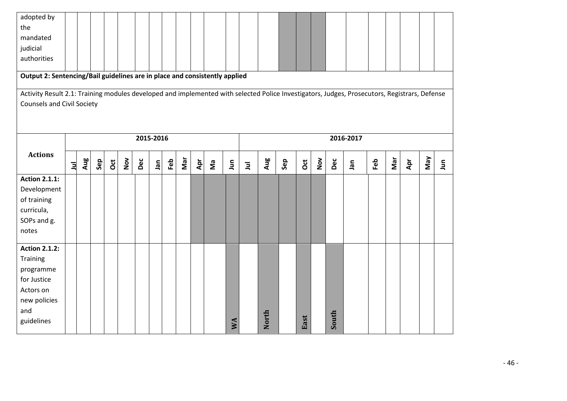| adopted by                                                                                                                                   |                |     |     |            |     |     |            |     |     |     |   |     |                |       |     |      |     |       |           |     |     |     |     |                      |
|----------------------------------------------------------------------------------------------------------------------------------------------|----------------|-----|-----|------------|-----|-----|------------|-----|-----|-----|---|-----|----------------|-------|-----|------|-----|-------|-----------|-----|-----|-----|-----|----------------------|
| the                                                                                                                                          |                |     |     |            |     |     |            |     |     |     |   |     |                |       |     |      |     |       |           |     |     |     |     |                      |
| mandated                                                                                                                                     |                |     |     |            |     |     |            |     |     |     |   |     |                |       |     |      |     |       |           |     |     |     |     |                      |
| judicial                                                                                                                                     |                |     |     |            |     |     |            |     |     |     |   |     |                |       |     |      |     |       |           |     |     |     |     |                      |
| authorities                                                                                                                                  |                |     |     |            |     |     |            |     |     |     |   |     |                |       |     |      |     |       |           |     |     |     |     |                      |
|                                                                                                                                              |                |     |     |            |     |     |            |     |     |     |   |     |                |       |     |      |     |       |           |     |     |     |     |                      |
| Output 2: Sentencing/Bail guidelines are in place and consistently applied                                                                   |                |     |     |            |     |     |            |     |     |     |   |     |                |       |     |      |     |       |           |     |     |     |     |                      |
| Activity Result 2.1: Training modules developed and implemented with selected Police Investigators, Judges, Prosecutors, Registrars, Defense |                |     |     |            |     |     |            |     |     |     |   |     |                |       |     |      |     |       |           |     |     |     |     |                      |
| <b>Counsels and Civil Society</b>                                                                                                            |                |     |     |            |     |     |            |     |     |     |   |     |                |       |     |      |     |       |           |     |     |     |     |                      |
|                                                                                                                                              |                |     |     |            |     |     |            |     |     |     |   |     |                |       |     |      |     |       |           |     |     |     |     |                      |
|                                                                                                                                              |                |     |     |            |     |     |            |     |     |     |   |     |                |       |     |      |     |       |           |     |     |     |     |                      |
|                                                                                                                                              |                |     |     |            |     |     |            |     |     |     |   |     |                |       |     |      |     |       |           |     |     |     |     |                      |
|                                                                                                                                              |                |     |     |            |     |     | 2015-2016  |     |     |     |   |     |                |       |     |      |     |       | 2016-2017 |     |     |     |     |                      |
| <b>Actions</b>                                                                                                                               |                |     |     |            |     |     |            |     |     |     |   |     |                |       |     |      |     |       |           |     |     |     |     |                      |
|                                                                                                                                              | $\overline{a}$ | Aug | Sep | <b>Oct</b> | Nov | Dec | <b>ner</b> | Feb | Nar | Apr | ξ | Jun | $\overline{a}$ | Aug   | Sep | õ    | Nov | Dec   | Jan       | Feb | Mar | Apr | VeW | $\tilde{\mathbf{z}}$ |
| <b>Action 2.1.1:</b>                                                                                                                         |                |     |     |            |     |     |            |     |     |     |   |     |                |       |     |      |     |       |           |     |     |     |     |                      |
| Development                                                                                                                                  |                |     |     |            |     |     |            |     |     |     |   |     |                |       |     |      |     |       |           |     |     |     |     |                      |
| of training                                                                                                                                  |                |     |     |            |     |     |            |     |     |     |   |     |                |       |     |      |     |       |           |     |     |     |     |                      |
| curricula,                                                                                                                                   |                |     |     |            |     |     |            |     |     |     |   |     |                |       |     |      |     |       |           |     |     |     |     |                      |
| SOPs and g.                                                                                                                                  |                |     |     |            |     |     |            |     |     |     |   |     |                |       |     |      |     |       |           |     |     |     |     |                      |
| notes                                                                                                                                        |                |     |     |            |     |     |            |     |     |     |   |     |                |       |     |      |     |       |           |     |     |     |     |                      |
|                                                                                                                                              |                |     |     |            |     |     |            |     |     |     |   |     |                |       |     |      |     |       |           |     |     |     |     |                      |
| <b>Action 2.1.2:</b>                                                                                                                         |                |     |     |            |     |     |            |     |     |     |   |     |                |       |     |      |     |       |           |     |     |     |     |                      |
| Training                                                                                                                                     |                |     |     |            |     |     |            |     |     |     |   |     |                |       |     |      |     |       |           |     |     |     |     |                      |
| programme                                                                                                                                    |                |     |     |            |     |     |            |     |     |     |   |     |                |       |     |      |     |       |           |     |     |     |     |                      |
| for Justice                                                                                                                                  |                |     |     |            |     |     |            |     |     |     |   |     |                |       |     |      |     |       |           |     |     |     |     |                      |
| Actors on                                                                                                                                    |                |     |     |            |     |     |            |     |     |     |   |     |                |       |     |      |     |       |           |     |     |     |     |                      |
| new policies                                                                                                                                 |                |     |     |            |     |     |            |     |     |     |   |     |                |       |     |      |     |       |           |     |     |     |     |                      |
| and                                                                                                                                          |                |     |     |            |     |     |            |     |     |     |   |     |                |       |     |      |     |       |           |     |     |     |     |                      |
| guidelines                                                                                                                                   |                |     |     |            |     |     |            |     |     |     |   | S   |                | North |     | East |     | South |           |     |     |     |     |                      |
|                                                                                                                                              |                |     |     |            |     |     |            |     |     |     |   |     |                |       |     |      |     |       |           |     |     |     |     |                      |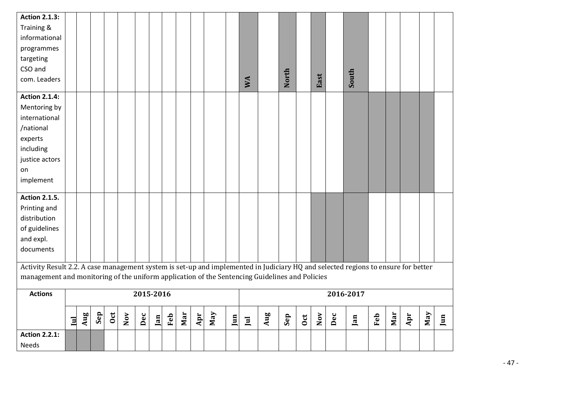| <b>Action 2.1.3:</b>                                                                                                              |              |     |     |     |     |           |     |     |     |     |     |     |              |     |       |              |                         |     |           |     |     |     |     |     |
|-----------------------------------------------------------------------------------------------------------------------------------|--------------|-----|-----|-----|-----|-----------|-----|-----|-----|-----|-----|-----|--------------|-----|-------|--------------|-------------------------|-----|-----------|-----|-----|-----|-----|-----|
| Training &                                                                                                                        |              |     |     |     |     |           |     |     |     |     |     |     |              |     |       |              |                         |     |           |     |     |     |     |     |
| informational                                                                                                                     |              |     |     |     |     |           |     |     |     |     |     |     |              |     |       |              |                         |     |           |     |     |     |     |     |
| programmes                                                                                                                        |              |     |     |     |     |           |     |     |     |     |     |     |              |     |       |              |                         |     |           |     |     |     |     |     |
| targeting                                                                                                                         |              |     |     |     |     |           |     |     |     |     |     |     |              |     |       |              |                         |     |           |     |     |     |     |     |
| CSO and                                                                                                                           |              |     |     |     |     |           |     |     |     |     |     |     |              |     |       |              |                         |     |           |     |     |     |     |     |
| com. Leaders                                                                                                                      |              |     |     |     |     |           |     |     |     |     |     |     | WA           |     | North |              | East                    |     | South     |     |     |     |     |     |
|                                                                                                                                   |              |     |     |     |     |           |     |     |     |     |     |     |              |     |       |              |                         |     |           |     |     |     |     |     |
| <b>Action 2.1.4:</b>                                                                                                              |              |     |     |     |     |           |     |     |     |     |     |     |              |     |       |              |                         |     |           |     |     |     |     |     |
| Mentoring by                                                                                                                      |              |     |     |     |     |           |     |     |     |     |     |     |              |     |       |              |                         |     |           |     |     |     |     |     |
| international                                                                                                                     |              |     |     |     |     |           |     |     |     |     |     |     |              |     |       |              |                         |     |           |     |     |     |     |     |
| /national                                                                                                                         |              |     |     |     |     |           |     |     |     |     |     |     |              |     |       |              |                         |     |           |     |     |     |     |     |
| experts                                                                                                                           |              |     |     |     |     |           |     |     |     |     |     |     |              |     |       |              |                         |     |           |     |     |     |     |     |
| including                                                                                                                         |              |     |     |     |     |           |     |     |     |     |     |     |              |     |       |              |                         |     |           |     |     |     |     |     |
| justice actors                                                                                                                    |              |     |     |     |     |           |     |     |     |     |     |     |              |     |       |              |                         |     |           |     |     |     |     |     |
| on                                                                                                                                |              |     |     |     |     |           |     |     |     |     |     |     |              |     |       |              |                         |     |           |     |     |     |     |     |
| implement                                                                                                                         |              |     |     |     |     |           |     |     |     |     |     |     |              |     |       |              |                         |     |           |     |     |     |     |     |
|                                                                                                                                   |              |     |     |     |     |           |     |     |     |     |     |     |              |     |       |              |                         |     |           |     |     |     |     |     |
| <b>Action 2.1.5.</b>                                                                                                              |              |     |     |     |     |           |     |     |     |     |     |     |              |     |       |              |                         |     |           |     |     |     |     |     |
| Printing and                                                                                                                      |              |     |     |     |     |           |     |     |     |     |     |     |              |     |       |              |                         |     |           |     |     |     |     |     |
| distribution                                                                                                                      |              |     |     |     |     |           |     |     |     |     |     |     |              |     |       |              |                         |     |           |     |     |     |     |     |
| of guidelines                                                                                                                     |              |     |     |     |     |           |     |     |     |     |     |     |              |     |       |              |                         |     |           |     |     |     |     |     |
| and expl.                                                                                                                         |              |     |     |     |     |           |     |     |     |     |     |     |              |     |       |              |                         |     |           |     |     |     |     |     |
| documents                                                                                                                         |              |     |     |     |     |           |     |     |     |     |     |     |              |     |       |              |                         |     |           |     |     |     |     |     |
| Activity Result 2.2. A case management system is set-up and implemented in Judiciary HQ and selected regions to ensure for better |              |     |     |     |     |           |     |     |     |     |     |     |              |     |       |              |                         |     |           |     |     |     |     |     |
| management and monitoring of the uniform application of the Sentencing Guidelines and Policies                                    |              |     |     |     |     |           |     |     |     |     |     |     |              |     |       |              |                         |     |           |     |     |     |     |     |
|                                                                                                                                   |              |     |     |     |     |           |     |     |     |     |     |     |              |     |       |              |                         |     |           |     |     |     |     |     |
| <b>Actions</b>                                                                                                                    |              |     |     |     |     | 2015-2016 |     |     |     |     |     |     |              |     |       |              |                         |     | 2016-2017 |     |     |     |     |     |
|                                                                                                                                   |              |     |     |     |     |           |     |     |     |     |     |     |              |     |       |              |                         |     |           |     |     |     |     |     |
|                                                                                                                                   | $\mathbf{I}$ | Aug | Sep | 0ct | Nov | Dec       | Jan | Feb | Mar | Apr | Nay | Jun | $\mathbf{I}$ | Aug | Sep   | $_{\rm Oct}$ | $\overline{\text{Nov}}$ | Dec | Jan       | Feb | Mar | Apr | May | Jun |
| <b>Action 2.2.1:</b>                                                                                                              |              |     |     |     |     |           |     |     |     |     |     |     |              |     |       |              |                         |     |           |     |     |     |     |     |
|                                                                                                                                   |              |     |     |     |     |           |     |     |     |     |     |     |              |     |       |              |                         |     |           |     |     |     |     |     |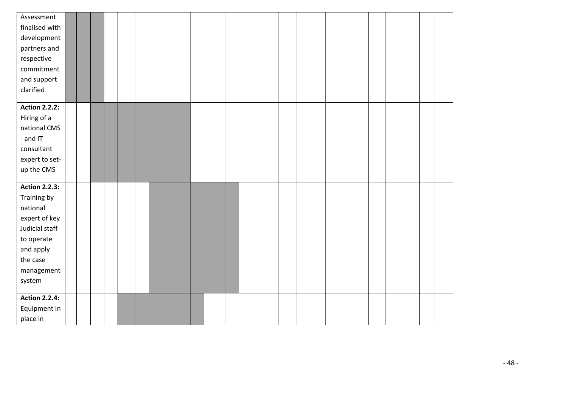| Assessment                   |  |  |  |  |  |  |  |  |  |  |  |  |
|------------------------------|--|--|--|--|--|--|--|--|--|--|--|--|
| finalised with               |  |  |  |  |  |  |  |  |  |  |  |  |
| development                  |  |  |  |  |  |  |  |  |  |  |  |  |
| partners and                 |  |  |  |  |  |  |  |  |  |  |  |  |
| respective                   |  |  |  |  |  |  |  |  |  |  |  |  |
| commitment                   |  |  |  |  |  |  |  |  |  |  |  |  |
| and support                  |  |  |  |  |  |  |  |  |  |  |  |  |
| clarified                    |  |  |  |  |  |  |  |  |  |  |  |  |
|                              |  |  |  |  |  |  |  |  |  |  |  |  |
| <b>Action 2.2.2:</b>         |  |  |  |  |  |  |  |  |  |  |  |  |
| Hiring of a<br>national CMS  |  |  |  |  |  |  |  |  |  |  |  |  |
| - and IT                     |  |  |  |  |  |  |  |  |  |  |  |  |
| consultant                   |  |  |  |  |  |  |  |  |  |  |  |  |
|                              |  |  |  |  |  |  |  |  |  |  |  |  |
| expert to set-<br>up the CMS |  |  |  |  |  |  |  |  |  |  |  |  |
|                              |  |  |  |  |  |  |  |  |  |  |  |  |
| <b>Action 2.2.3:</b>         |  |  |  |  |  |  |  |  |  |  |  |  |
| Training by                  |  |  |  |  |  |  |  |  |  |  |  |  |
| national                     |  |  |  |  |  |  |  |  |  |  |  |  |
| expert of key                |  |  |  |  |  |  |  |  |  |  |  |  |
| Judicial staff               |  |  |  |  |  |  |  |  |  |  |  |  |
| to operate                   |  |  |  |  |  |  |  |  |  |  |  |  |
| and apply                    |  |  |  |  |  |  |  |  |  |  |  |  |
| the case                     |  |  |  |  |  |  |  |  |  |  |  |  |
| management                   |  |  |  |  |  |  |  |  |  |  |  |  |
| system                       |  |  |  |  |  |  |  |  |  |  |  |  |
|                              |  |  |  |  |  |  |  |  |  |  |  |  |
| <b>Action 2.2.4:</b>         |  |  |  |  |  |  |  |  |  |  |  |  |
| Equipment in                 |  |  |  |  |  |  |  |  |  |  |  |  |
| place in                     |  |  |  |  |  |  |  |  |  |  |  |  |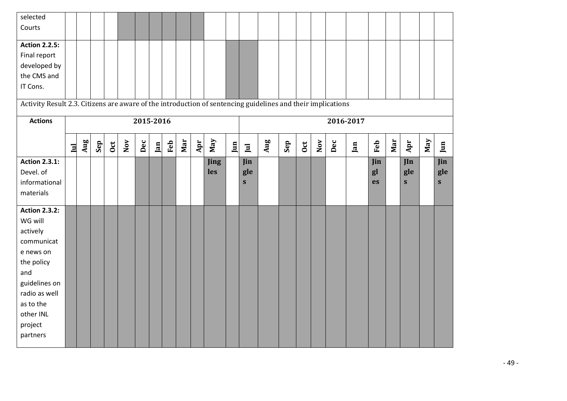| selected<br>Courts<br><b>Action 2.2.5:</b><br>Final report<br>developed by<br>the CMS and<br>IT Cons.                                                                          |              |     |     |              |     |           |     |     |     |     |             |     |                            |     |     |              |                         |     |           |                 |     |                          |     |                 |
|--------------------------------------------------------------------------------------------------------------------------------------------------------------------------------|--------------|-----|-----|--------------|-----|-----------|-----|-----|-----|-----|-------------|-----|----------------------------|-----|-----|--------------|-------------------------|-----|-----------|-----------------|-----|--------------------------|-----|-----------------|
| Activity Result 2.3. Citizens are aware of the introduction of sentencing guidelines and their implications<br><b>Actions</b>                                                  |              |     |     |              |     | 2015-2016 |     |     |     |     |             |     |                            |     |     |              |                         |     | 2016-2017 |                 |     |                          |     |                 |
|                                                                                                                                                                                | $\mathbf{I}$ | Aug | Sep | $_{\rm 0ct}$ | Nov | Dec       | Jan | Feb | Mar | Apr | Nay         | Jun | $\Xi$                      | Aug | Sep | $_{\rm 0ct}$ | $\overline{\text{Nov}}$ | Dec | Jan       | Feb             | Mar | Apr                      | May | Jun             |
| <b>Action 2.3.1:</b><br>Devel. of<br>informational<br>materials                                                                                                                |              |     |     |              |     |           |     |     |     |     | Jing<br>les |     | Jin<br>gle<br>$\mathbf{s}$ |     |     |              |                         |     |           | Jin<br>gl<br>es |     | $\mathbf{I}$<br>gle<br>S |     | Jin<br>gle<br>S |
| <b>Action 2.3.2:</b><br>WG will<br>actively<br>communicat<br>e news on<br>the policy<br>and<br>guidelines on<br>radio as well<br>as to the<br>other INL<br>project<br>partners |              |     |     |              |     |           |     |     |     |     |             |     |                            |     |     |              |                         |     |           |                 |     |                          |     |                 |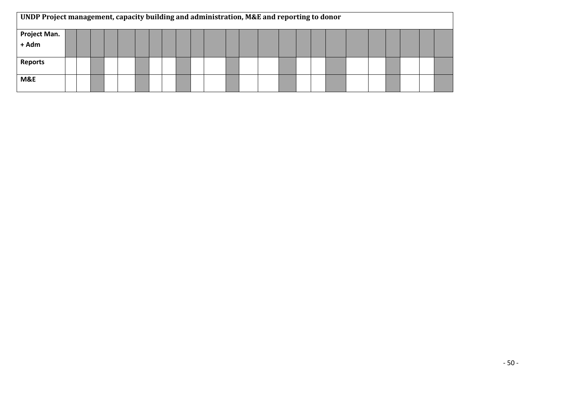| UNDP Project management, capacity building and administration, M&E and reporting to donor |  |  |  |  |  |  |  |  |  |  |  |  |
|-------------------------------------------------------------------------------------------|--|--|--|--|--|--|--|--|--|--|--|--|
| Project Man.<br>+ Adm                                                                     |  |  |  |  |  |  |  |  |  |  |  |  |
|                                                                                           |  |  |  |  |  |  |  |  |  |  |  |  |
| <b>Reports</b>                                                                            |  |  |  |  |  |  |  |  |  |  |  |  |
| M&E                                                                                       |  |  |  |  |  |  |  |  |  |  |  |  |